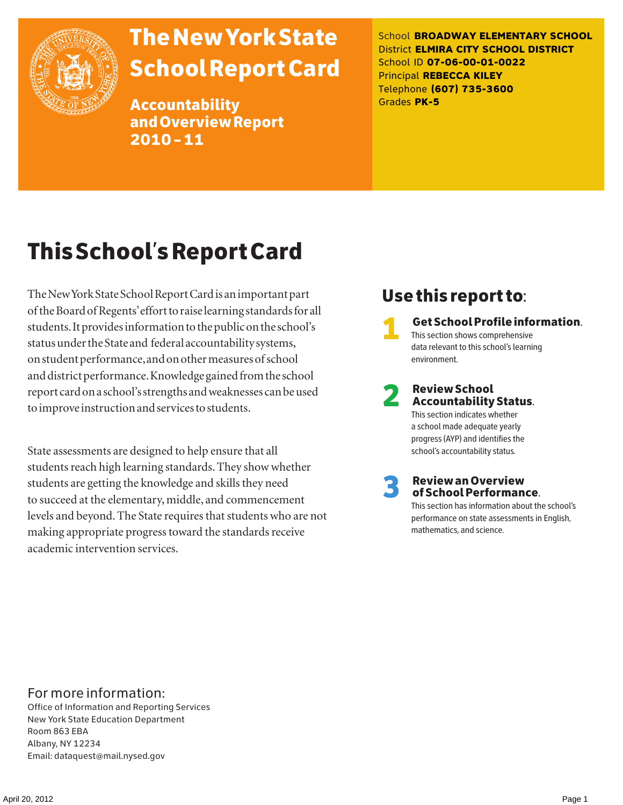

# The New York State School Report Card

Accountability and Overview Report 2010–11

School **BROADWAY ELEMENTARY SCHOOL** District **ELMIRA CITY SCHOOL DISTRICT** School ID **07-06-00-01-0022** Principal **REBECCA KILEY** Telephone **(607) 735-3600** Grades **PK-5**

# This School's Report Card

The New York State School Report Card is an important part of the Board of Regents' effort to raise learning standards for all students. It provides information to the public on the school's status under the State and federal accountability systems, on student performance, and on other measures of school and district performance. Knowledge gained from the school report card on a school's strengths and weaknesses can be used to improve instruction and services to students.

State assessments are designed to help ensure that all students reach high learning standards. They show whether students are getting the knowledge and skills they need to succeed at the elementary, middle, and commencement levels and beyond. The State requires that students who are not making appropriate progress toward the standards receive academic intervention services.

# Use this report to:

1 Get School Profile information. This section shows comprehensive data relevant to this school's learning environment.

# 2 Review School Accountability Status.

This section indicates whether a school made adequate yearly progress (AYP) and identifies the school's accountability status.

3 Review an Overview of School Performance.

This section has information about the school's performance on state assessments in English, mathematics, and science.

### For more information:

Office of Information and Reporting Services New York State Education Department Room 863 EBA Albany, NY 12234 Email: dataquest@mail.nysed.gov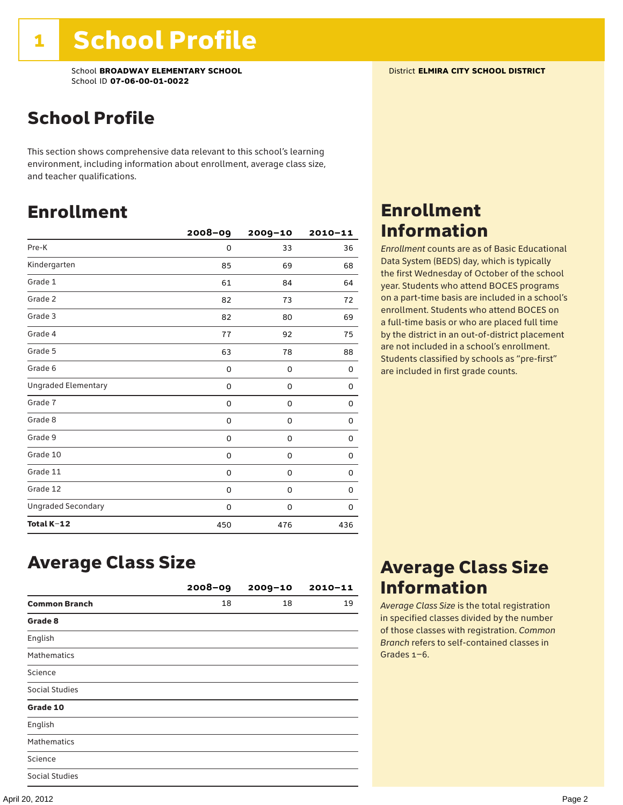# School Profile

This section shows comprehensive data relevant to this school's learning environment, including information about enrollment, average class size, and teacher qualifications.

### Enrollment

|                            | $2008 - 09$ | $2009 - 10$ | $2010 - 11$ |
|----------------------------|-------------|-------------|-------------|
| Pre-K                      | 0           | 33          | 36          |
| Kindergarten               | 85          | 69          | 68          |
| Grade 1                    | 61          | 84          | 64          |
| Grade 2                    | 82          | 73          | 72          |
| Grade 3                    | 82          | 80          | 69          |
| Grade 4                    | 77          | 92          | 75          |
| Grade 5                    | 63          | 78          | 88          |
| Grade 6                    | 0           | 0           | 0           |
| <b>Ungraded Elementary</b> | 0           | 0           | 0           |
| Grade 7                    | 0           | 0           | 0           |
| Grade 8                    | 0           | 0           | 0           |
| Grade 9                    | 0           | 0           | 0           |
| Grade 10                   | 0           | 0           | 0           |
| Grade 11                   | 0           | 0           | 0           |
| Grade 12                   | 0           | 0           | 0           |
| <b>Ungraded Secondary</b>  | 0           | 0           | 0           |
| Total K-12                 | 450         | 476         | 436         |

# Enrollment Information

*Enrollment* counts are as of Basic Educational Data System (BEDS) day, which is typically the first Wednesday of October of the school year. Students who attend BOCES programs on a part-time basis are included in a school's enrollment. Students who attend BOCES on a full-time basis or who are placed full time by the district in an out-of-district placement are not included in a school's enrollment. Students classified by schools as "pre-first" are included in first grade counts.

### Average Class Size

|                       | $2008 - 09$ | $2009 - 10$ | $2010 - 11$ |
|-----------------------|-------------|-------------|-------------|
| <b>Common Branch</b>  | 18          | 18          | 19          |
| Grade 8               |             |             |             |
| English               |             |             |             |
| <b>Mathematics</b>    |             |             |             |
| Science               |             |             |             |
| <b>Social Studies</b> |             |             |             |
| Grade 10              |             |             |             |
| English               |             |             |             |
| Mathematics           |             |             |             |
| Science               |             |             |             |
| <b>Social Studies</b> |             |             |             |

### Average Class Size Information

*Average Class Size* is the total registration in specified classes divided by the number of those classes with registration. *Common Branch* refers to self-contained classes in Grades 1–6.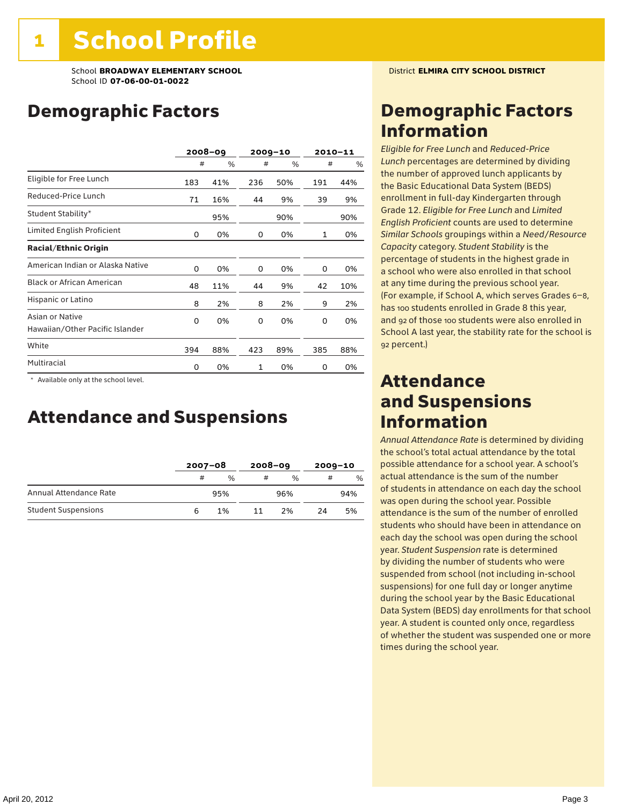# Demographic Factors

|                                                    | $2008 - 09$ |     |     | $2009 - 10$ |     | $2010 - 11$ |
|----------------------------------------------------|-------------|-----|-----|-------------|-----|-------------|
|                                                    | #           | %   | #   | %           | #   | %           |
| Eligible for Free Lunch                            | 183         | 41% | 236 | 50%         | 191 | 44%         |
| Reduced-Price Lunch                                | 71          | 16% | 44  | 9%          | 39  | 9%          |
| Student Stability*                                 |             | 95% |     | 90%         |     | 90%         |
| Limited English Proficient                         | 0           | 0%  | 0   | 0%          | 1   | 0%          |
| <b>Racial/Ethnic Origin</b>                        |             |     |     |             |     |             |
| American Indian or Alaska Native                   | 0           | 0%  | 0   | 0%          | 0   | 0%          |
| <b>Black or African American</b>                   | 48          | 11% | 44  | 9%          | 42  | 10%         |
| Hispanic or Latino                                 | 8           | 2%  | 8   | 2%          | 9   | 2%          |
| Asian or Native<br>Hawaiian/Other Pacific Islander | 0           | 0%  | 0   | 0%          | 0   | 0%          |
| White                                              | 394         | 88% | 423 | 89%         | 385 | 88%         |
| Multiracial                                        | 0           | 0%  | 1   | 0%          | 0   | 0%          |

 \* Available only at the school level.

### Attendance and Suspensions

|                            |   | $2007 - 08$   |    | $2008 - 09$   |    | $2009 - 10$ |  |
|----------------------------|---|---------------|----|---------------|----|-------------|--|
|                            | # | $\frac{0}{0}$ | #  | $\frac{0}{6}$ | #  | %           |  |
| Annual Attendance Rate     |   | 95%           |    | 96%           |    | 94%         |  |
| <b>Student Suspensions</b> |   | 1%            | 11 | 2%            | 24 | 5%          |  |

# Demographic Factors Information

*Eligible for Free Lunch* and *Reduced*-*Price Lunch* percentages are determined by dividing the number of approved lunch applicants by the Basic Educational Data System (BEDS) enrollment in full-day Kindergarten through Grade 12. *Eligible for Free Lunch* and *Limited English Proficient* counts are used to determine *Similar Schools* groupings within a *Need*/*Resource Capacity* category. *Student Stability* is the percentage of students in the highest grade in a school who were also enrolled in that school at any time during the previous school year. (For example, if School A, which serves Grades 6–8, has 100 students enrolled in Grade 8 this year, and 92 of those 100 students were also enrolled in School A last year, the stability rate for the school is 92 percent.)

### Attendance and Suspensions Information

*Annual Attendance Rate* is determined by dividing the school's total actual attendance by the total possible attendance for a school year. A school's actual attendance is the sum of the number of students in attendance on each day the school was open during the school year. Possible attendance is the sum of the number of enrolled students who should have been in attendance on each day the school was open during the school year. *Student Suspension* rate is determined by dividing the number of students who were suspended from school (not including in-school suspensions) for one full day or longer anytime during the school year by the Basic Educational Data System (BEDS) day enrollments for that school year. A student is counted only once, regardless of whether the student was suspended one or more times during the school year.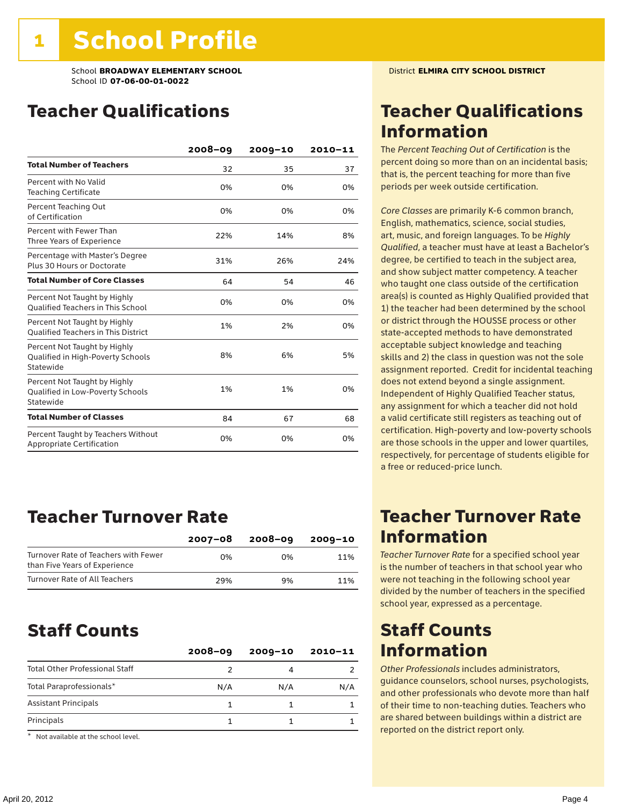# Teacher Qualifications

|                                                                                | $2008 - 09$ | $2009 - 10$ | $2010 - 11$ |
|--------------------------------------------------------------------------------|-------------|-------------|-------------|
| <b>Total Number of Teachers</b>                                                | 32          | 35          | 37          |
| Percent with No Valid<br><b>Teaching Certificate</b>                           | 0%          | 0%          | 0%          |
| Percent Teaching Out<br>of Certification                                       | 0%          | 0%          | 0%          |
| Percent with Fewer Than<br>Three Years of Experience                           | 22%         | 14%         | 8%          |
| Percentage with Master's Degree<br>Plus 30 Hours or Doctorate                  | 31%         | 26%         | 24%         |
| <b>Total Number of Core Classes</b>                                            | 64          | 54          | 46          |
| Percent Not Taught by Highly<br><b>Qualified Teachers in This School</b>       | 0%          | 0%          | 0%          |
| Percent Not Taught by Highly<br><b>Oualified Teachers in This District</b>     | 1%          | 2%          | 0%          |
| Percent Not Taught by Highly<br>Qualified in High-Poverty Schools<br>Statewide | 8%          | 6%          | 5%          |
| Percent Not Taught by Highly<br>Qualified in Low-Poverty Schools<br>Statewide  | 1%          | 1%          | 0%          |
| <b>Total Number of Classes</b>                                                 | 84          | 67          | 68          |
| Percent Taught by Teachers Without<br>Appropriate Certification                | 0%          | 0%          | 0%          |

### Teacher Turnover Rate

|                                                                       | 2007-08 | $2008 - 09$ | 2009-10 |
|-----------------------------------------------------------------------|---------|-------------|---------|
| Turnover Rate of Teachers with Fewer<br>than Five Years of Experience | በ%      | በ%          | 11%     |
| Turnover Rate of All Teachers                                         | 29%     | 9%          | 11%     |

### Staff Counts

|                                       | $2008 - 09$ | $2009 - 10$ | $2010 - 11$ |
|---------------------------------------|-------------|-------------|-------------|
| <b>Total Other Professional Staff</b> |             |             |             |
| Total Paraprofessionals*              | N/A         | N/A         | N/A         |
| <b>Assistant Principals</b>           |             |             |             |
| Principals                            |             |             |             |

\* Not available at the school level.

# Teacher Qualifications Information

The *Percent Teaching Out of Certification* is the percent doing so more than on an incidental basis; that is, the percent teaching for more than five periods per week outside certification.

*Core Classes* are primarily K-6 common branch, English, mathematics, science, social studies, art, music, and foreign languages. To be *Highly Qualified*, a teacher must have at least a Bachelor's degree, be certified to teach in the subject area, and show subject matter competency. A teacher who taught one class outside of the certification area(s) is counted as Highly Qualified provided that 1) the teacher had been determined by the school or district through the HOUSSE process or other state-accepted methods to have demonstrated acceptable subject knowledge and teaching skills and 2) the class in question was not the sole assignment reported. Credit for incidental teaching does not extend beyond a single assignment. Independent of Highly Qualified Teacher status, any assignment for which a teacher did not hold a valid certificate still registers as teaching out of certification. High-poverty and low-poverty schools are those schools in the upper and lower quartiles, respectively, for percentage of students eligible for a free or reduced-price lunch.

### Teacher Turnover Rate Information

*Teacher Turnover Rate* for a specified school year is the number of teachers in that school year who were not teaching in the following school year divided by the number of teachers in the specified school year, expressed as a percentage.

### Staff Counts Information

*Other Professionals* includes administrators, guidance counselors, school nurses, psychologists, and other professionals who devote more than half of their time to non-teaching duties. Teachers who are shared between buildings within a district are reported on the district report only.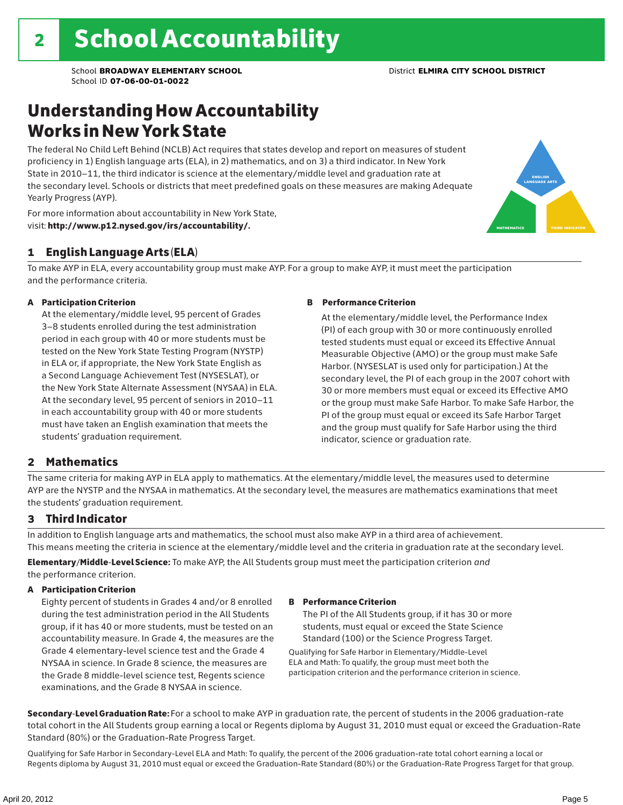# Understanding How Accountability Works in New York State

The federal No Child Left Behind (NCLB) Act requires that states develop and report on measures of student proficiency in 1) English language arts (ELA), in 2) mathematics, and on 3) a third indicator. In New York State in 2010–11, the third indicator is science at the elementary/middle level and graduation rate at the secondary level. Schools or districts that meet predefined goals on these measures are making Adequate Yearly Progress (AYP).



For more information about accountability in New York State, visit: http://www.p12.nysed.gov/irs/accountability/.

### 1 English Language Arts (ELA)

To make AYP in ELA, every accountability group must make AYP. For a group to make AYP, it must meet the participation and the performance criteria.

### A Participation Criterion

At the elementary/middle level, 95 percent of Grades 3–8 students enrolled during the test administration period in each group with 40 or more students must be tested on the New York State Testing Program (NYSTP) in ELA or, if appropriate, the New York State English as a Second Language Achievement Test (NYSESLAT), or the New York State Alternate Assessment (NYSAA) in ELA. At the secondary level, 95 percent of seniors in 2010–11 in each accountability group with 40 or more students must have taken an English examination that meets the students' graduation requirement.

### B Performance Criterion

At the elementary/middle level, the Performance Index (PI) of each group with 30 or more continuously enrolled tested students must equal or exceed its Effective Annual Measurable Objective (AMO) or the group must make Safe Harbor. (NYSESLAT is used only for participation.) At the secondary level, the PI of each group in the 2007 cohort with 30 or more members must equal or exceed its Effective AMO or the group must make Safe Harbor. To make Safe Harbor, the PI of the group must equal or exceed its Safe Harbor Target and the group must qualify for Safe Harbor using the third indicator, science or graduation rate.

### 2 Mathematics

The same criteria for making AYP in ELA apply to mathematics. At the elementary/middle level, the measures used to determine AYP are the NYSTP and the NYSAA in mathematics. At the secondary level, the measures are mathematics examinations that meet the students' graduation requirement.

### 3 Third Indicator

In addition to English language arts and mathematics, the school must also make AYP in a third area of achievement. This means meeting the criteria in science at the elementary/middle level and the criteria in graduation rate at the secondary level.

Elementary/Middle-Level Science: To make AYP, the All Students group must meet the participation criterion *and* the performance criterion.

### A Participation Criterion

Eighty percent of students in Grades 4 and/or 8 enrolled during the test administration period in the All Students group, if it has 40 or more students, must be tested on an accountability measure. In Grade 4, the measures are the Grade 4 elementary-level science test and the Grade 4 NYSAA in science. In Grade 8 science, the measures are the Grade 8 middle-level science test, Regents science examinations, and the Grade 8 NYSAA in science.

### B Performance Criterion

The PI of the All Students group, if it has 30 or more students, must equal or exceed the State Science Standard (100) or the Science Progress Target.

Qualifying for Safe Harbor in Elementary/Middle-Level ELA and Math: To qualify, the group must meet both the participation criterion and the performance criterion in science.

Secondary-Level Graduation Rate: For a school to make AYP in graduation rate, the percent of students in the 2006 graduation-rate total cohort in the All Students group earning a local or Regents diploma by August 31, 2010 must equal or exceed the Graduation-Rate Standard (80%) or the Graduation-Rate Progress Target.

Qualifying for Safe Harbor in Secondary-Level ELA and Math: To qualify, the percent of the 2006 graduation-rate total cohort earning a local or Regents diploma by August 31, 2010 must equal or exceed the Graduation-Rate Standard (80%) or the Graduation-Rate Progress Target for that group.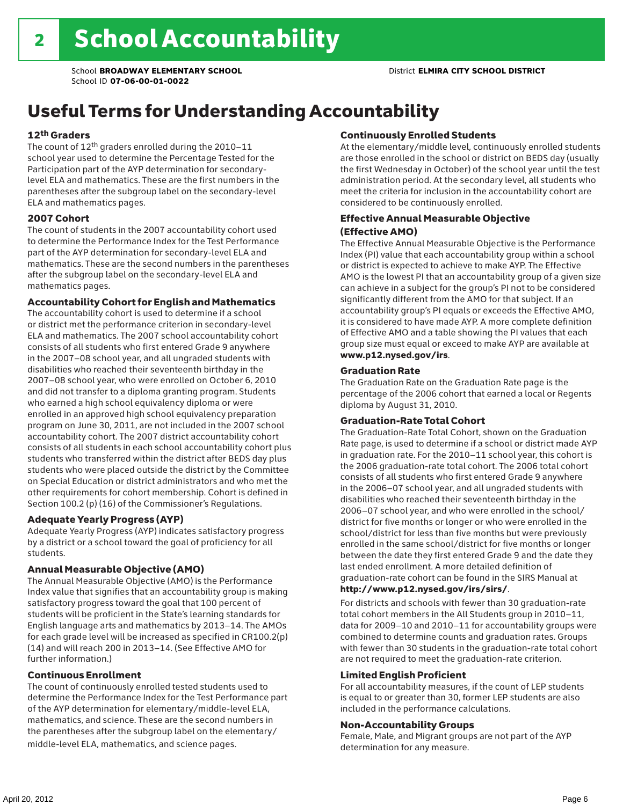# Useful Terms for Understanding Accountability

### 12th Graders

The count of 12th graders enrolled during the 2010–11 school year used to determine the Percentage Tested for the Participation part of the AYP determination for secondarylevel ELA and mathematics. These are the first numbers in the parentheses after the subgroup label on the secondary-level ELA and mathematics pages.

### 2007 Cohort

The count of students in the 2007 accountability cohort used to determine the Performance Index for the Test Performance part of the AYP determination for secondary-level ELA and mathematics. These are the second numbers in the parentheses after the subgroup label on the secondary-level ELA and mathematics pages.

### Accountability Cohort for English and Mathematics

The accountability cohort is used to determine if a school or district met the performance criterion in secondary-level ELA and mathematics. The 2007 school accountability cohort consists of all students who first entered Grade 9 anywhere in the 2007–08 school year, and all ungraded students with disabilities who reached their seventeenth birthday in the 2007–08 school year, who were enrolled on October 6, 2010 and did not transfer to a diploma granting program. Students who earned a high school equivalency diploma or were enrolled in an approved high school equivalency preparation program on June 30, 2011, are not included in the 2007 school accountability cohort. The 2007 district accountability cohort consists of all students in each school accountability cohort plus students who transferred within the district after BEDS day plus students who were placed outside the district by the Committee on Special Education or district administrators and who met the other requirements for cohort membership. Cohort is defined in Section 100.2 (p) (16) of the Commissioner's Regulations.

### Adequate Yearly Progress (AYP)

Adequate Yearly Progress (AYP) indicates satisfactory progress by a district or a school toward the goal of proficiency for all students.

### Annual Measurable Objective (AMO)

The Annual Measurable Objective (AMO) is the Performance Index value that signifies that an accountability group is making satisfactory progress toward the goal that 100 percent of students will be proficient in the State's learning standards for English language arts and mathematics by 2013–14. The AMOs for each grade level will be increased as specified in CR100.2(p) (14) and will reach 200 in 2013–14. (See Effective AMO for further information.)

### Continuous Enrollment

The count of continuously enrolled tested students used to determine the Performance Index for the Test Performance part of the AYP determination for elementary/middle-level ELA, mathematics, and science. These are the second numbers in the parentheses after the subgroup label on the elementary/ middle-level ELA, mathematics, and science pages.

### Continuously Enrolled Students

At the elementary/middle level, continuously enrolled students are those enrolled in the school or district on BEDS day (usually the first Wednesday in October) of the school year until the test administration period. At the secondary level, all students who meet the criteria for inclusion in the accountability cohort are considered to be continuously enrolled.

### Effective Annual Measurable Objective (Effective AMO)

The Effective Annual Measurable Objective is the Performance Index (PI) value that each accountability group within a school or district is expected to achieve to make AYP. The Effective AMO is the lowest PI that an accountability group of a given size can achieve in a subject for the group's PI not to be considered significantly different from the AMO for that subject. If an accountability group's PI equals or exceeds the Effective AMO, it is considered to have made AYP. A more complete definition of Effective AMO and a table showing the PI values that each group size must equal or exceed to make AYP are available at www.p12.nysed.gov/irs.

### Graduation Rate

The Graduation Rate on the Graduation Rate page is the percentage of the 2006 cohort that earned a local or Regents diploma by August 31, 2010.

### Graduation-Rate Total Cohort

The Graduation-Rate Total Cohort, shown on the Graduation Rate page, is used to determine if a school or district made AYP in graduation rate. For the 2010–11 school year, this cohort is the 2006 graduation-rate total cohort. The 2006 total cohort consists of all students who first entered Grade 9 anywhere in the 2006–07 school year, and all ungraded students with disabilities who reached their seventeenth birthday in the 2006–07 school year, and who were enrolled in the school/ district for five months or longer or who were enrolled in the school/district for less than five months but were previously enrolled in the same school/district for five months or longer between the date they first entered Grade 9 and the date they last ended enrollment. A more detailed definition of graduation-rate cohort can be found in the SIRS Manual at

### http://www.p12.nysed.gov/irs/sirs/.

For districts and schools with fewer than 30 graduation-rate total cohort members in the All Students group in 2010–11, data for 2009–10 and 2010–11 for accountability groups were combined to determine counts and graduation rates. Groups with fewer than 30 students in the graduation-rate total cohort are not required to meet the graduation-rate criterion.

### Limited English Proficient

For all accountability measures, if the count of LEP students is equal to or greater than 30, former LEP students are also included in the performance calculations.

#### Non-Accountability Groups

Female, Male, and Migrant groups are not part of the AYP determination for any measure.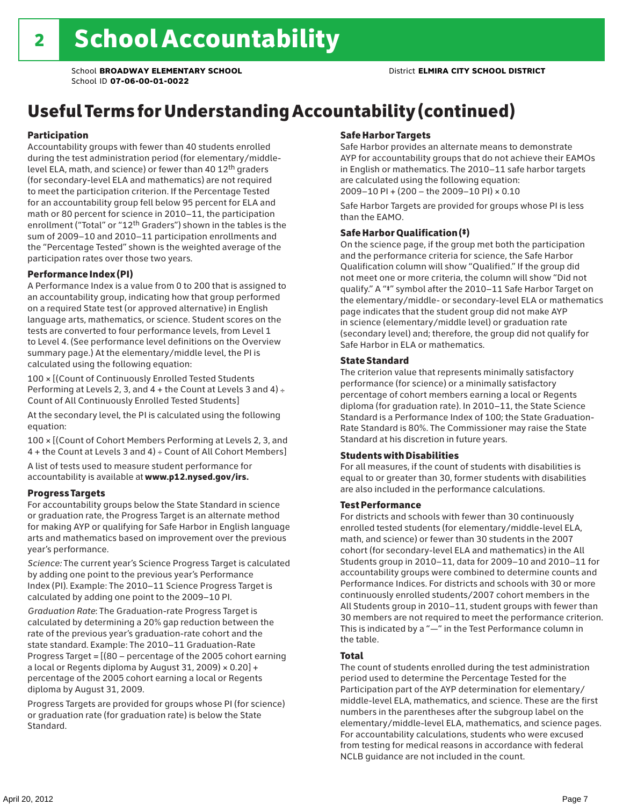# Useful Terms for Understanding Accountability (continued)

### Participation

Accountability groups with fewer than 40 students enrolled during the test administration period (for elementary/middlelevel ELA, math, and science) or fewer than 40 12th graders (for secondary-level ELA and mathematics) are not required to meet the participation criterion. If the Percentage Tested for an accountability group fell below 95 percent for ELA and math or 80 percent for science in 2010–11, the participation enrollment ("Total" or "12th Graders") shown in the tables is the sum of 2009–10 and 2010–11 participation enrollments and the "Percentage Tested" shown is the weighted average of the participation rates over those two years.

### Performance Index (PI)

A Performance Index is a value from 0 to 200 that is assigned to an accountability group, indicating how that group performed on a required State test (or approved alternative) in English language arts, mathematics, or science. Student scores on the tests are converted to four performance levels, from Level 1 to Level 4. (See performance level definitions on the Overview summary page.) At the elementary/middle level, the PI is calculated using the following equation:

100 × [(Count of Continuously Enrolled Tested Students Performing at Levels 2, 3, and  $4 +$  the Count at Levels 3 and  $4) \div$ Count of All Continuously Enrolled Tested Students]

At the secondary level, the PI is calculated using the following equation:

100 × [(Count of Cohort Members Performing at Levels 2, 3, and 4 + the Count at Levels 3 and 4) ÷ Count of All Cohort Members]

A list of tests used to measure student performance for accountability is available at www.p12.nysed.gov/irs.

### Progress Targets

For accountability groups below the State Standard in science or graduation rate, the Progress Target is an alternate method for making AYP or qualifying for Safe Harbor in English language arts and mathematics based on improvement over the previous year's performance.

*Science:* The current year's Science Progress Target is calculated by adding one point to the previous year's Performance Index (PI). Example: The 2010–11 Science Progress Target is calculated by adding one point to the 2009–10 PI.

*Graduation Rate*: The Graduation-rate Progress Target is calculated by determining a 20% gap reduction between the rate of the previous year's graduation-rate cohort and the state standard. Example: The 2010–11 Graduation-Rate Progress Target = [(80 – percentage of the 2005 cohort earning a local or Regents diploma by August 31, 2009)  $\times$  0.20] + percentage of the 2005 cohort earning a local or Regents diploma by August 31, 2009.

Progress Targets are provided for groups whose PI (for science) or graduation rate (for graduation rate) is below the State Standard.

### Safe Harbor Targets

Safe Harbor provides an alternate means to demonstrate AYP for accountability groups that do not achieve their EAMOs in English or mathematics. The 2010–11 safe harbor targets are calculated using the following equation: 2009–10 PI + (200 – the 2009–10 PI) × 0.10

Safe Harbor Targets are provided for groups whose PI is less than the EAMO.

### Safe Harbor Qualification (‡)

On the science page, if the group met both the participation and the performance criteria for science, the Safe Harbor Qualification column will show "Qualified." If the group did not meet one or more criteria, the column will show "Did not qualify." A "‡" symbol after the 2010–11 Safe Harbor Target on the elementary/middle- or secondary-level ELA or mathematics page indicates that the student group did not make AYP in science (elementary/middle level) or graduation rate (secondary level) and; therefore, the group did not qualify for Safe Harbor in ELA or mathematics.

### State Standard

The criterion value that represents minimally satisfactory performance (for science) or a minimally satisfactory percentage of cohort members earning a local or Regents diploma (for graduation rate). In 2010–11, the State Science Standard is a Performance Index of 100; the State Graduation-Rate Standard is 80%. The Commissioner may raise the State Standard at his discretion in future years.

### Students with Disabilities

For all measures, if the count of students with disabilities is equal to or greater than 30, former students with disabilities are also included in the performance calculations.

### Test Performance

For districts and schools with fewer than 30 continuously enrolled tested students (for elementary/middle-level ELA, math, and science) or fewer than 30 students in the 2007 cohort (for secondary-level ELA and mathematics) in the All Students group in 2010–11, data for 2009–10 and 2010–11 for accountability groups were combined to determine counts and Performance Indices. For districts and schools with 30 or more continuously enrolled students/2007 cohort members in the All Students group in 2010–11, student groups with fewer than 30 members are not required to meet the performance criterion. This is indicated by a "—" in the Test Performance column in the table.

### Total

The count of students enrolled during the test administration period used to determine the Percentage Tested for the Participation part of the AYP determination for elementary/ middle-level ELA, mathematics, and science. These are the first numbers in the parentheses after the subgroup label on the elementary/middle-level ELA, mathematics, and science pages. For accountability calculations, students who were excused from testing for medical reasons in accordance with federal NCLB guidance are not included in the count.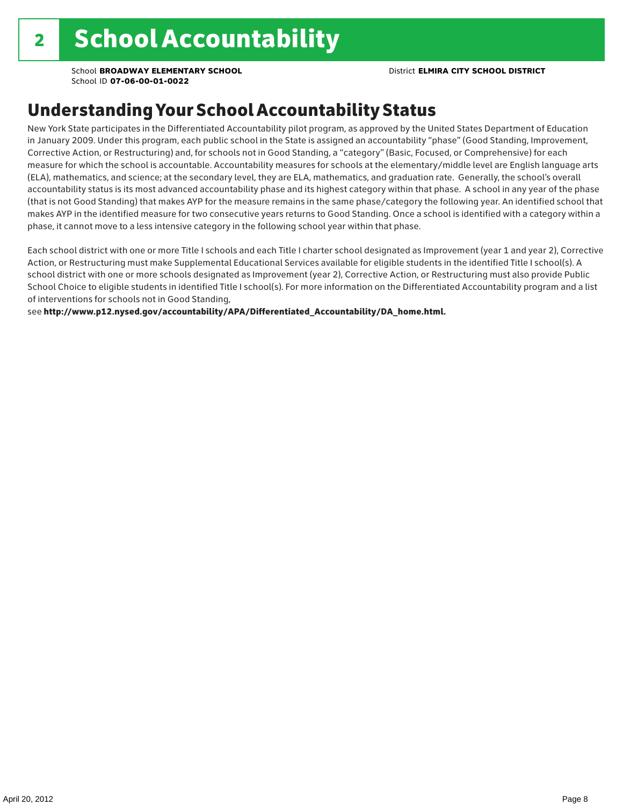## Understanding Your School Accountability Status

New York State participates in the Differentiated Accountability pilot program, as approved by the United States Department of Education in January 2009. Under this program, each public school in the State is assigned an accountability "phase" (Good Standing, Improvement, Corrective Action, or Restructuring) and, for schools not in Good Standing, a "category" (Basic, Focused, or Comprehensive) for each measure for which the school is accountable. Accountability measures for schools at the elementary/middle level are English language arts (ELA), mathematics, and science; at the secondary level, they are ELA, mathematics, and graduation rate. Generally, the school's overall accountability status is its most advanced accountability phase and its highest category within that phase. A school in any year of the phase (that is not Good Standing) that makes AYP for the measure remains in the same phase/category the following year. An identified school that makes AYP in the identified measure for two consecutive years returns to Good Standing. Once a school is identified with a category within a phase, it cannot move to a less intensive category in the following school year within that phase.

Each school district with one or more Title I schools and each Title I charter school designated as Improvement (year 1 and year 2), Corrective Action, or Restructuring must make Supplemental Educational Services available for eligible students in the identified Title I school(s). A school district with one or more schools designated as Improvement (year 2), Corrective Action, or Restructuring must also provide Public School Choice to eligible students in identified Title I school(s). For more information on the Differentiated Accountability program and a list of interventions for schools not in Good Standing,

see http://www.p12.nysed.gov/accountability/APA/Differentiated\_Accountability/DA\_home.html.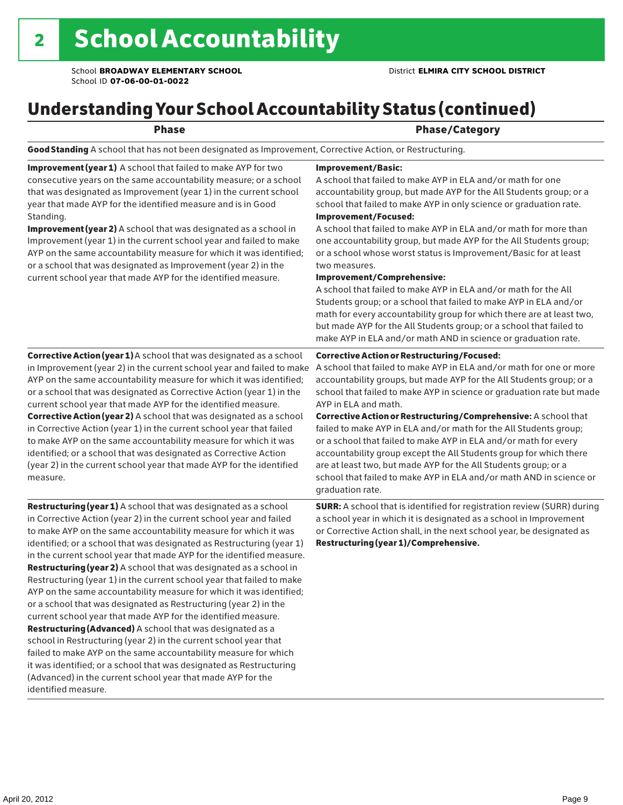# Understanding Your School Accountability Status (continued)

### end and the contract of the Phase/Category

Good Standing A school that has not been designated as Improvement, Corrective Action, or Restructuring.

Improvement (year 1) A school that failed to make AYP for two consecutive years on the same accountability measure; or a school that was designated as Improvement (year 1) in the current school year that made AYP for the identified measure and is in Good Standing.

Improvement (year 2) A school that was designated as a school in Improvement (year 1) in the current school year and failed to make AYP on the same accountability measure for which it was identified; or a school that was designated as Improvement (year 2) in the current school year that made AYP for the identified measure.

### Corrective Action (year 1) A school that was designated as a school in Improvement (year 2) in the current school year and failed to make AYP on the same accountability measure for which it was identified; or a school that was designated as Corrective Action (year 1) in the current school year that made AYP for the identified measure. Corrective Action (year 2) A school that was designated as a school in Corrective Action (year 1) in the current school year that failed to make AYP on the same accountability measure for which it was identified; or a school that was designated as Corrective Action (year 2) in the current school year that made AYP for the identified measure.

**Restructuring (year 1)** A school that was designated as a school in Corrective Action (year 2) in the current school year and failed to make AYP on the same accountability measure for which it was identified; or a school that was designated as Restructuring (year 1) in the current school year that made AYP for the identified measure. Restructuring (year 2) A school that was designated as a school in Restructuring (year 1) in the current school year that failed to make AYP on the same accountability measure for which it was identified; or a school that was designated as Restructuring (year 2) in the current school year that made AYP for the identified measure. Restructuring (Advanced) A school that was designated as a school in Restructuring (year 2) in the current school year that failed to make AYP on the same accountability measure for which it was identified; or a school that was designated as Restructuring (Advanced) in the current school year that made AYP for the identified measure.

### Improvement/Basic:

A school that failed to make AYP in ELA and/or math for one accountability group, but made AYP for the All Students group; or a school that failed to make AYP in only science or graduation rate. Improvement/Focused:

A school that failed to make AYP in ELA and/or math for more than one accountability group, but made AYP for the All Students group; or a school whose worst status is Improvement/Basic for at least two measures.

#### Improvement/Comprehensive:

A school that failed to make AYP in ELA and/or math for the All Students group; or a school that failed to make AYP in ELA and/or math for every accountability group for which there are at least two, but made AYP for the All Students group; or a school that failed to make AYP in ELA and/or math AND in science or graduation rate.

#### Corrective Action or Restructuring/Focused:

A school that failed to make AYP in ELA and/or math for one or more accountability groups, but made AYP for the All Students group; or a school that failed to make AYP in science or graduation rate but made AYP in ELA and math.

Corrective Action or Restructuring/Comprehensive: A school that failed to make AYP in ELA and/or math for the All Students group; or a school that failed to make AYP in ELA and/or math for every accountability group except the All Students group for which there are at least two, but made AYP for the All Students group; or a school that failed to make AYP in ELA and/or math AND in science or graduation rate.

SURR: A school that is identified for registration review (SURR) during a school year in which it is designated as a school in Improvement or Corrective Action shall, in the next school year, be designated as Restructuring (year 1)/Comprehensive.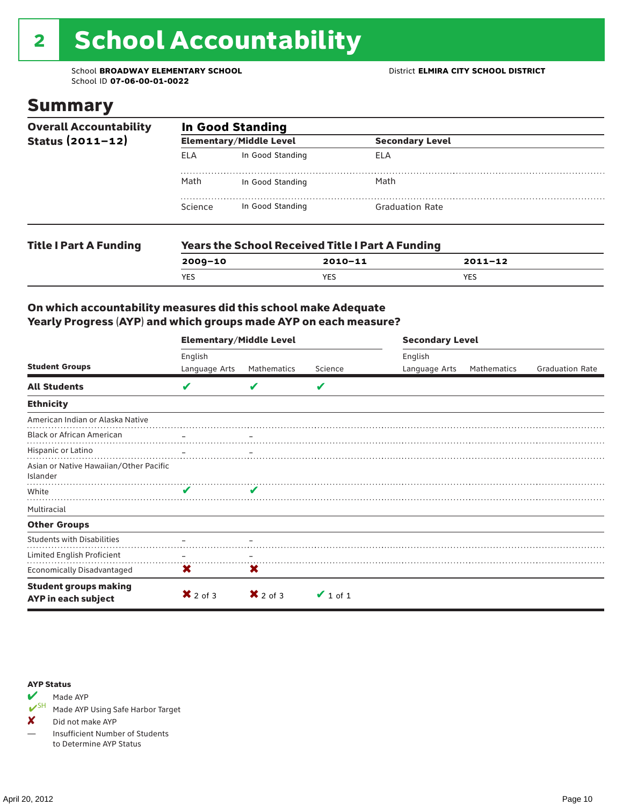# 2 School Accountability

School **BROADWAY ELEMENTARY SCHOOL** District **ELMIRA CITY SCHOOL DISTRICT** School ID **07-06-00-01-0022**

### Summary

| <b>Overall Accountability</b><br>Status (2011-12) | <b>In Good Standing</b> |                                |                                                         |             |  |  |  |
|---------------------------------------------------|-------------------------|--------------------------------|---------------------------------------------------------|-------------|--|--|--|
|                                                   |                         | <b>Elementary/Middle Level</b> | <b>Secondary Level</b>                                  |             |  |  |  |
|                                                   | <b>ELA</b>              | In Good Standing               | ELA                                                     |             |  |  |  |
|                                                   | Math                    | In Good Standing               | Math                                                    |             |  |  |  |
|                                                   | Science                 | In Good Standing               | <b>Graduation Rate</b>                                  |             |  |  |  |
| <b>Title I Part A Funding</b>                     |                         |                                | <b>Years the School Received Title I Part A Funding</b> |             |  |  |  |
|                                                   | $2009 - 10$             |                                | $2010 - 11$                                             | $2011 - 12$ |  |  |  |

YES YES YES

### On which accountability measures did this school make Adequate Yearly Progress (AYP) and which groups made AYP on each measure?

|                                                            | <b>Elementary/Middle Level</b> |                     |               | <b>Secondary Level</b> |             |                        |  |
|------------------------------------------------------------|--------------------------------|---------------------|---------------|------------------------|-------------|------------------------|--|
| <b>Student Groups</b>                                      | English                        |                     |               | English                |             |                        |  |
|                                                            | Language Arts                  | Mathematics         | Science       | Language Arts          | Mathematics | <b>Graduation Rate</b> |  |
| <b>All Students</b>                                        | V                              |                     | V             |                        |             |                        |  |
| <b>Ethnicity</b>                                           |                                |                     |               |                        |             |                        |  |
| American Indian or Alaska Native                           |                                |                     |               |                        |             |                        |  |
| <b>Black or African American</b>                           |                                |                     |               |                        |             |                        |  |
| Hispanic or Latino                                         |                                |                     |               |                        |             |                        |  |
| Asian or Native Hawaiian/Other Pacific<br>Islander         |                                |                     |               |                        |             |                        |  |
| White                                                      | ✔                              |                     |               |                        |             |                        |  |
| Multiracial                                                |                                |                     |               |                        |             |                        |  |
| <b>Other Groups</b>                                        |                                |                     |               |                        |             |                        |  |
| <b>Students with Disabilities</b>                          |                                |                     |               |                        |             |                        |  |
| Limited English Proficient                                 |                                |                     |               |                        |             |                        |  |
| Economically Disadvantaged                                 | X                              | X                   |               |                        |             |                        |  |
| <b>Student groups making</b><br><b>AYP</b> in each subject | $\mathsf{X}$ 2 of 3            | $\mathsf{X}$ 2 of 3 | $\vee$ 1 of 1 |                        |             |                        |  |

#### AYP Status



Made AYP Using Safe Harbor Target

✘ Did not make AYP

— Insufficient Number of Students to Determine AYP Status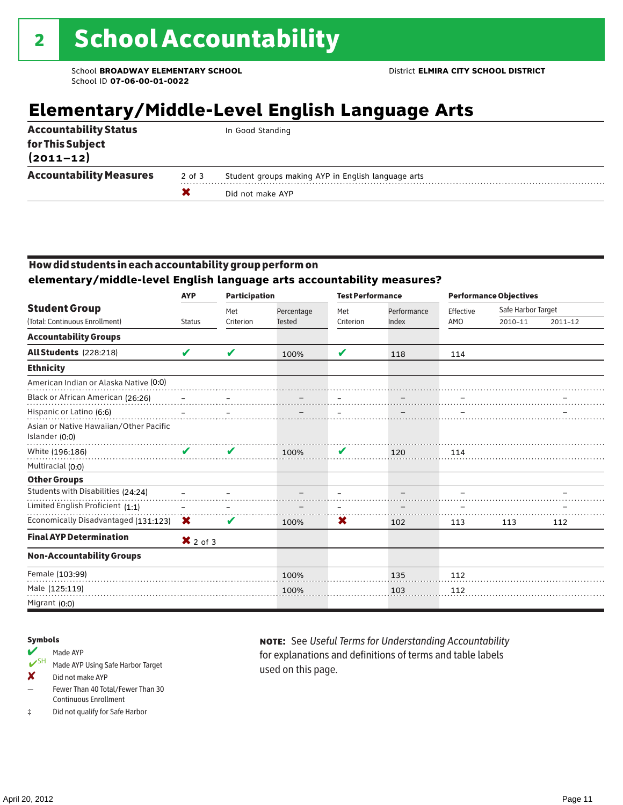# **Elementary/Middle-Level English Language Arts**

| $(2011 - 12)$                  |        |                                                    |
|--------------------------------|--------|----------------------------------------------------|
|                                |        |                                                    |
|                                | X      | Did not make AYP                                   |
| <b>Accountability Measures</b> | 2 of 3 | Student groups making AYP in English language arts |

### How did students in each accountability group perform on

**elementary/middle-level English language arts accountability measures?**

|                                                          | <b>Participation</b><br><b>AYP</b> |           |               |           | <b>Test Performance</b> |           | <b>Performance Objectives</b> |             |  |
|----------------------------------------------------------|------------------------------------|-----------|---------------|-----------|-------------------------|-----------|-------------------------------|-------------|--|
| <b>Student Group</b>                                     |                                    | Met       | Percentage    | Met       | Performance             | Effective | Safe Harbor Target            |             |  |
| (Total: Continuous Enrollment)                           | <b>Status</b>                      | Criterion | <b>Tested</b> | Criterion | Index                   | AMO       | 2010-11                       | $2011 - 12$ |  |
| <b>Accountability Groups</b>                             |                                    |           |               |           |                         |           |                               |             |  |
| All Students (228:218)                                   | V                                  | V         | 100%          | V         | 118                     | 114       |                               |             |  |
| <b>Ethnicity</b>                                         |                                    |           |               |           |                         |           |                               |             |  |
| American Indian or Alaska Native (0:0)                   |                                    |           |               |           |                         |           |                               |             |  |
| Black or African American (26:26)                        |                                    |           |               |           |                         |           |                               |             |  |
| Hispanic or Latino (6:6)                                 |                                    |           |               |           |                         |           |                               |             |  |
| Asian or Native Hawaiian/Other Pacific<br>Islander (0:0) |                                    |           |               |           |                         |           |                               |             |  |
| White (196:186)                                          | ✔                                  | V         | 100%          | V         | 120                     | 114       |                               |             |  |
| Multiracial (0:0)                                        |                                    |           |               |           |                         |           |                               |             |  |
| <b>Other Groups</b>                                      |                                    |           |               |           |                         |           |                               |             |  |
| Students with Disabilities (24:24)                       |                                    |           |               |           |                         |           |                               |             |  |
| Limited English Proficient (1:1)                         |                                    |           |               |           |                         |           |                               |             |  |
| Economically Disadvantaged (131:123)                     | $\mathbf x$                        | ✔         | 100%          | X         | 102                     | 113       | 113                           | 112         |  |
| <b>Final AYP Determination</b>                           | $\mathbf{X}$ 2 of 3                |           |               |           |                         |           |                               |             |  |
| <b>Non-Accountability Groups</b>                         |                                    |           |               |           |                         |           |                               |             |  |
| Female (103:99)                                          |                                    |           | 100%          |           | 135                     | 112       |                               |             |  |
| Male (125:119)                                           |                                    |           | 100%          |           | 103                     | 112       |                               |             |  |
| Migrant (0:0)                                            |                                    |           |               |           |                         |           |                               |             |  |

#### Symbols

### Made AYP

- ✔SH Made AYP Using Safe Harbor Target
- ✘ Did not make AYP
- Fewer Than 40 Total/Fewer Than 30 Continuous Enrollment
- ‡ Did not qualify for Safe Harbor

note: See *Useful Terms for Understanding Accountability*  for explanations and definitions of terms and table labels used on this page.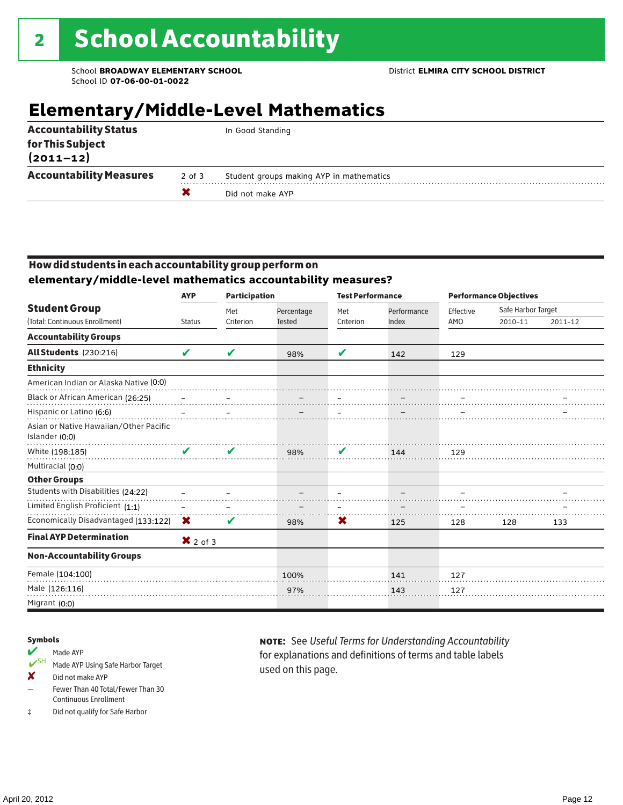# **Elementary/Middle-Level Mathematics**

|                                   | x          | Did not make AYP                         |
|-----------------------------------|------------|------------------------------------------|
| <b>Accountability Measures</b>    | $2$ of $3$ | Student groups making AYP in mathematics |
| for This Subject<br>$(2011 - 12)$ |            |                                          |
| <b>Accountability Status</b>      |            | In Good Standing                         |

### How did students in each accountability group perform on **elementary/middle-level mathematics accountability measures?**

|                                                          | <b>AYP</b>          | <b>Participation</b> |                             | <b>Test Performance</b> |                      |                  | <b>Performance Objectives</b> |         |
|----------------------------------------------------------|---------------------|----------------------|-----------------------------|-------------------------|----------------------|------------------|-------------------------------|---------|
| <b>Student Group</b><br>(Total: Continuous Enrollment)   | <b>Status</b>       | Met<br>Criterion     | Percentage<br><b>Tested</b> | Met<br>Criterion        | Performance<br>Index | Effective<br>AMO | Safe Harbor Target<br>2010-11 | 2011-12 |
|                                                          |                     |                      |                             |                         |                      |                  |                               |         |
| <b>Accountability Groups</b>                             |                     |                      |                             |                         |                      |                  |                               |         |
| <b>All Students</b> (230:216)                            | ✔                   | V                    | 98%                         | V                       | 142                  | 129              |                               |         |
| <b>Ethnicity</b>                                         |                     |                      |                             |                         |                      |                  |                               |         |
| American Indian or Alaska Native (0:0)                   |                     |                      |                             |                         |                      |                  |                               |         |
| Black or African American (26:25)                        |                     |                      |                             |                         |                      |                  |                               |         |
| Hispanic or Latino (6:6)                                 |                     |                      |                             |                         |                      |                  |                               |         |
| Asian or Native Hawaiian/Other Pacific<br>Islander (0:0) |                     |                      |                             |                         |                      |                  |                               |         |
| White (198:185)                                          | .<br>V              | V                    | 98%                         | V                       | 144                  | 129              |                               |         |
| Multiracial (0:0)                                        |                     |                      |                             |                         |                      |                  |                               |         |
| <b>Other Groups</b>                                      |                     |                      |                             |                         |                      |                  |                               |         |
| Students with Disabilities (24:22)                       |                     |                      |                             |                         |                      |                  |                               |         |
| Limited English Proficient (1:1)                         |                     |                      |                             |                         |                      |                  |                               |         |
| Economically Disadvantaged (133:122)                     | X                   | V                    | 98%                         | X                       | 125                  | 128              | 128                           | 133     |
| <b>Final AYP Determination</b>                           | $\mathsf{X}$ 2 of 3 |                      |                             |                         |                      |                  |                               |         |
| <b>Non-Accountability Groups</b>                         |                     |                      |                             |                         |                      |                  |                               |         |
| Female (104:100)                                         |                     |                      | 100%                        |                         | 141                  | 127              |                               |         |
| Male (126:116)                                           |                     |                      | 97%                         |                         | 143                  | 127              |                               |         |
| Migrant (0:0)                                            |                     |                      |                             |                         |                      |                  |                               |         |

#### Symbols

#### Made AYP

- ✔SH Made AYP Using Safe Harbor Target
- ✘ Did not make AYP
- Fewer Than 40 Total/Fewer Than 30 Continuous Enrollment
- ‡ Did not qualify for Safe Harbor

note: See *Useful Terms for Understanding Accountability*  for explanations and definitions of terms and table labels used on this page.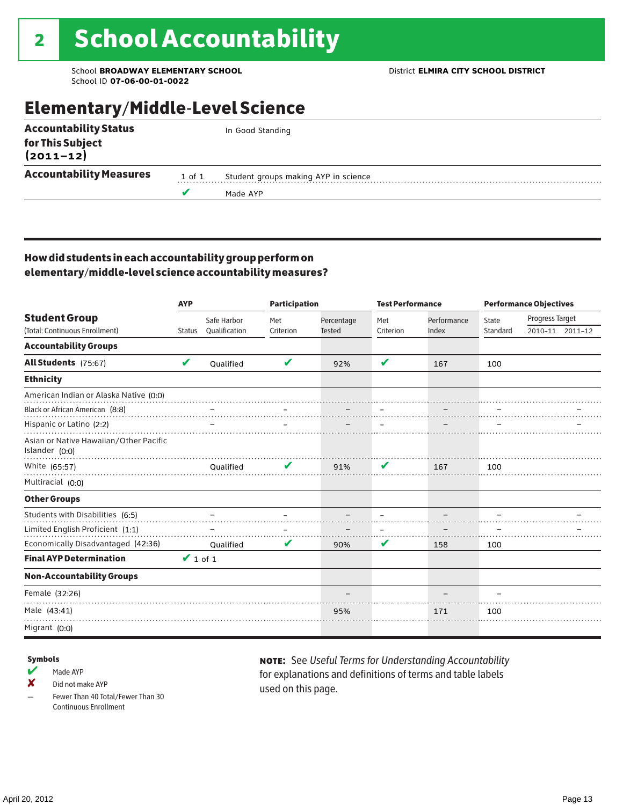## Elementary/Middle-Level Science

| <b>Accountability Status</b>   |        | In Good Standing                     |
|--------------------------------|--------|--------------------------------------|
| for This Subject<br>(2011–12)  |        |                                      |
| <b>Accountability Measures</b> | 1 of 1 | Student groups making AYP in science |
|                                |        | Made AYP                             |
|                                |        |                                      |

### How did students in each accountability group perform on elementary/middle-level science accountability measures?

|                                                          | <b>AYP</b>    |               | <b>Participation</b> |               | <b>Test Performance</b> |             |              | <b>Performance Objectives</b> |                 |
|----------------------------------------------------------|---------------|---------------|----------------------|---------------|-------------------------|-------------|--------------|-------------------------------|-----------------|
| <b>Student Group</b>                                     |               | Safe Harbor   | Met                  | Percentage    | Met                     | Performance | <b>State</b> | Progress Target               |                 |
| (Total: Continuous Enrollment)                           | <b>Status</b> | Qualification | Criterion            | <b>Tested</b> | Criterion               | Index       | Standard     |                               | 2010-11 2011-12 |
| <b>Accountability Groups</b>                             |               |               |                      |               |                         |             |              |                               |                 |
| All Students (75:67)                                     | V             | Qualified     | V                    | 92%           | V                       | 167         | 100          |                               |                 |
| <b>Ethnicity</b>                                         |               |               |                      |               |                         |             |              |                               |                 |
| American Indian or Alaska Native (0:0)                   |               |               |                      |               |                         |             |              |                               |                 |
| Black or African American (8:8)                          |               |               |                      |               |                         |             |              |                               |                 |
| Hispanic or Latino (2:2)                                 |               |               |                      |               |                         |             |              |                               |                 |
| Asian or Native Hawaiian/Other Pacific<br>Islander (0:0) |               |               |                      |               |                         |             |              |                               |                 |
| White (65:57)                                            |               | Oualified     |                      | 91%           | V                       | 167         | 100          |                               |                 |
| Multiracial (0:0)                                        |               |               |                      |               |                         |             |              |                               |                 |
| <b>Other Groups</b>                                      |               |               |                      |               |                         |             |              |                               |                 |
| Students with Disabilities (6:5)                         |               |               |                      |               |                         |             |              |                               |                 |
| Limited English Proficient (1:1)                         |               |               |                      |               |                         |             |              |                               |                 |
| Economically Disadvantaged (42:36)                       |               | Oualified     | V                    | 90%           | V                       | 158         | 100          |                               |                 |
| <b>Final AYP Determination</b>                           | $\vee$ 1 of 1 |               |                      |               |                         |             |              |                               |                 |
| <b>Non-Accountability Groups</b>                         |               |               |                      |               |                         |             |              |                               |                 |
| Female (32:26)                                           |               |               |                      |               |                         |             |              |                               |                 |
| Male (43:41)                                             |               |               |                      | 95%           |                         | 171         | 100          |                               |                 |
| Migrant (0:0)                                            |               |               |                      |               |                         |             |              |                               |                 |

#### Symbols

- $M$  Made AYP
- ✘ Did not make AYP
- Fewer Than 40 Total/Fewer Than 30 Continuous Enrollment

note: See *Useful Terms for Understanding Accountability*  for explanations and definitions of terms and table labels used on this page.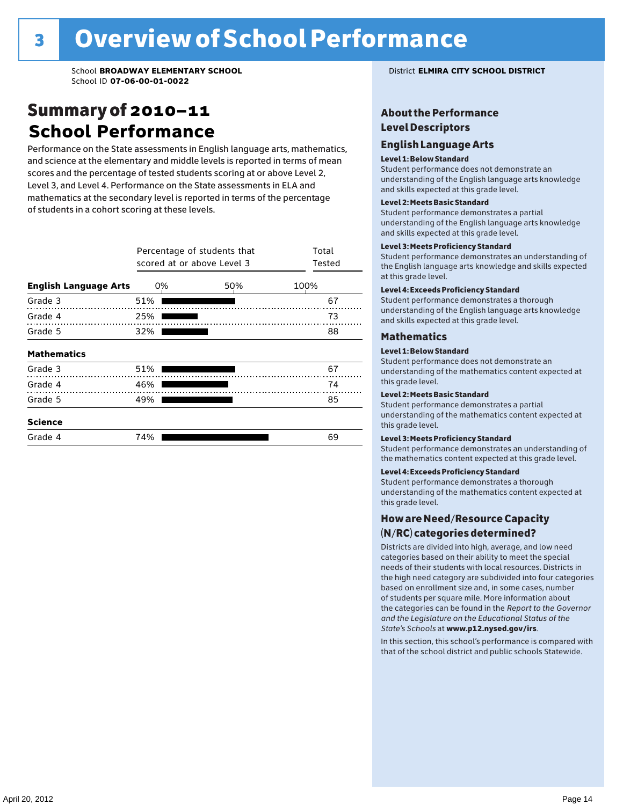### Summary of 2010–11 **School Performance**

Performance on the State assessments in English language arts, mathematics, and science at the elementary and middle levels is reported in terms of mean scores and the percentage of tested students scoring at or above Level 2, Level 3, and Level 4. Performance on the State assessments in ELA and mathematics at the secondary level is reported in terms of the percentage of students in a cohort scoring at these levels.

|                              | Percentage of students that<br>scored at or above Level 3 | Total<br>Tested |    |
|------------------------------|-----------------------------------------------------------|-----------------|----|
| <b>English Language Arts</b> | 0%                                                        | 100%            |    |
| Grade 3                      | 51%                                                       |                 | 67 |
| Grade 4                      | 25%                                                       |                 | 73 |
| Grade 5                      | 32%                                                       |                 | 88 |
| <b>Mathematics</b>           |                                                           |                 |    |
| Grade 3                      | 51%                                                       |                 | 67 |
| Grade 4                      | 46%                                                       |                 | 74 |
| Grade 5                      | 49%                                                       |                 | 85 |
| <b>Science</b>               |                                                           |                 |    |
| Grade 4                      | 74%                                                       |                 | 69 |

### About the Performance Level Descriptors

#### English Language Arts English Language Arts

#### Level 1: Below Standard

understanding of the content expected in the subjection of the subjection  $\mathcal{L}$ Student performance does not demonstrate an and skills expected at this grade level. understanding of the English language arts knowledge

#### Student performance demonstrates a partial Level 2: Meets Basic Standard understanding of the content expected in the subject of the subject of the subject of the subject of the subject

Student performance demonstrates a partial and skills expected at this grade level. Students performance demonstrates and understanding and understanding and understanding and understanding and u understanding of the English language arts knowledge

### Level 3: Meets Proficiency Standard

Level 4: Meeting Learning Standards with Distinction. the English language arts knowledge and skills expected at this grade level.<br>at this grade level.  $\mathbf{u}$  and  $\mathbf{y}$  and  $\mathbf{u}$  the subjected in the subjected in the subjected in the subjection  $\mathbf{y}$ Student performance demonstrates an understanding of

### Level 4: Exceeds Proficiency Standard

understanding of the English language arts knowledge and skills expected at this grade level.<br>———————————————————— Student performance demonstrates a thorough

#### Districts are districts and low need in the low need  $\sim$

#### categories based on their ability to meet the special Level 1: Below Standard

Student performance does not demonstrate an understanding of the mathematics content expected at  $\frac{1}{2}$  based on enrollment size and, in some cases, number  $\frac{1}{2}$  and,  $\frac{1}{2}$  and,  $\frac{1}{2}$ 

### $\overline{\mathsf{Level}}$  2: Meets Basic Standard about  $\overline{\mathsf{Level}}$

the categories can be found in the *Report to the Governor categories* can be found in the *Report to the Govern*or  $\alpha$ *and the Legislature on the Educational Status of the*  Student performance demonstrates a partial understanding of the mathematics content expected at this grade level.

### Level 3: Meets Proficiency Standard

Student performance demonstrates an understanding of the mathematics content expected at this grade level.

#### Level 4: Exceeds Proficiency Standard

Student performance demonstrates a thorough understanding of the mathematics content expected at this grade level.  $\mathcal{L}_{\text{max}}$  is performance with that of similar  $\mathcal{L}_{\text{max}}$ 

#### schools. The following factors are considered in grouping How are Need/Resource Capacity  $(N/RC)$  categories determined?  $\hphantom{N(2)}\sum_{n=1}^{\infty}\frac{1}{n}$

Districts are divided into high, average, and low need categories based on their ability to meet the special needs of their students with local resources. Districts in the high need category are subdivided into four categories based on enrollment size and, in some cases, number of students per square mile. More information about the categories can be found in the *Report to the Governor* Group: *State's Schools* at www.p12.nysed.gov/irs. *and the Legislature on the Educational Status of the* 

In this section, this school's performance is compared with that of the school district and public schools Statewide.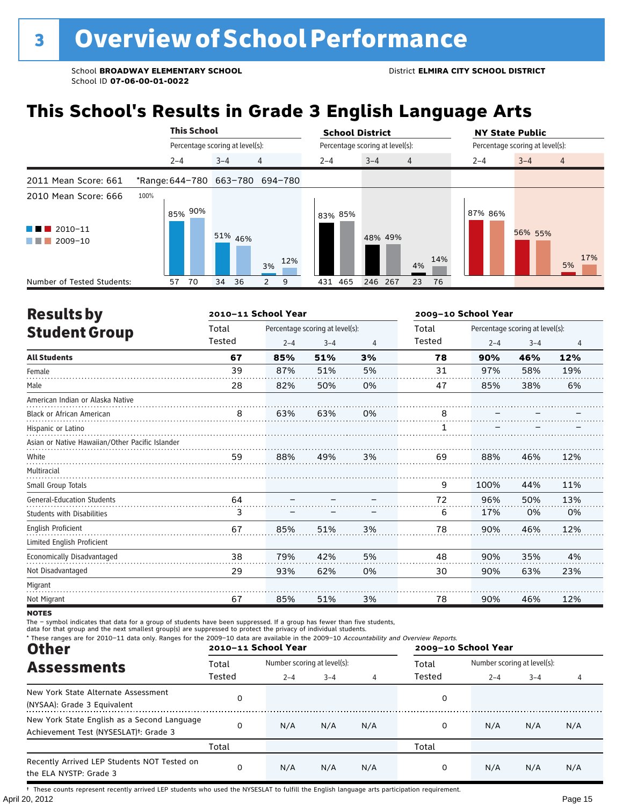# **This School's Results in Grade 3 English Language Arts**

|                                                                          |      | <b>This School</b><br>Percentage scoring at level(s):<br>4<br>$3 - 4$<br>$2 - 4$<br>*Range: 644-780 663-780 694-780 |         |    |              |  | <b>School District</b> |                                 |                |     | <b>NY State Public</b>          |         |                |  |
|--------------------------------------------------------------------------|------|---------------------------------------------------------------------------------------------------------------------|---------|----|--------------|--|------------------------|---------------------------------|----------------|-----|---------------------------------|---------|----------------|--|
|                                                                          |      |                                                                                                                     |         |    |              |  |                        | Percentage scoring at level(s): |                |     | Percentage scoring at level(s): |         |                |  |
|                                                                          |      |                                                                                                                     |         |    |              |  | $2 - 4$                | $3 - 4$                         | $\overline{4}$ |     | $2 - 4$                         | $3 - 4$ | $\overline{4}$ |  |
| 2011 Mean Score: 661                                                     |      |                                                                                                                     |         |    |              |  |                        |                                 |                |     |                                 |         |                |  |
| 2010 Mean Score: 666<br>$\blacksquare$ 2010-11<br>$\blacksquare$ 2009-10 | 100% | 85% 90%                                                                                                             | 51% 46% |    | 12%          |  | 83% 85%                | 48% 49%                         |                | 14% | 87% 86%                         | 56% 55% | 17%            |  |
| Number of Tested Students:                                               | 57   | 70                                                                                                                  | 34      | 36 | 3%<br>9<br>2 |  | 431 465                | 246 267                         | 4%<br>23       | 76  |                                 |         | 5%             |  |

| <b>Results by</b>                               |        | 2010-11 School Year |                                 |                |        |         | 2009-10 School Year             |                |  |  |
|-------------------------------------------------|--------|---------------------|---------------------------------|----------------|--------|---------|---------------------------------|----------------|--|--|
| <b>Student Group</b>                            | Total  |                     | Percentage scoring at level(s): |                | Total  |         | Percentage scoring at level(s): |                |  |  |
|                                                 | Tested | $2 - 4$             | $3 - 4$                         | $\overline{4}$ | Tested | $2 - 4$ | $3 - 4$                         | $\overline{4}$ |  |  |
| <b>All Students</b>                             | 67     | 85%                 | 51%                             | 3%             | 78     | 90%     | 46%                             | 12%            |  |  |
| Female                                          | 39     | 87%                 | 51%                             | 5%             | 31     | 97%     | 58%                             | 19%            |  |  |
| Male                                            | 28     | 82%                 | 50%                             | 0%             | 47     | 85%     | 38%                             | 6%             |  |  |
| American Indian or Alaska Native                |        |                     |                                 |                |        |         |                                 |                |  |  |
| <b>Black or African American</b>                | 8      | 63%                 | 63%                             | 0%             | 8      |         |                                 |                |  |  |
| Hispanic or Latino                              |        |                     |                                 |                |        |         |                                 |                |  |  |
| Asian or Native Hawaiian/Other Pacific Islander |        |                     |                                 |                |        |         |                                 |                |  |  |
| White                                           | 59     | 88%                 | 49%                             | 3%             | 69     | 88%     | 46%                             | 12%            |  |  |
| Multiracial                                     |        |                     |                                 |                |        |         |                                 |                |  |  |
| Small Group Totals                              |        |                     |                                 |                | 9      | 100%    | 44%                             | 11%            |  |  |
| <b>General-Education Students</b>               | 64     |                     |                                 |                | 72     | 96%     | 50%                             | 13%            |  |  |
| <b>Students with Disabilities</b>               | 3      |                     |                                 |                | 6      | 17%     | 0%                              | 0%             |  |  |
| <b>English Proficient</b>                       | 67     | 85%                 | 51%                             | 3%             | 78     | 90%     | 46%                             | 12%            |  |  |
| Limited English Proficient                      |        |                     |                                 |                |        |         |                                 |                |  |  |
| Economically Disadvantaged                      | 38     | 79%                 | 42%                             | 5%             | 48     | 90%     | 35%                             | 4%             |  |  |
| Not Disadvantaged                               | 29     | 93%                 | 62%                             | 0%             | 30     | 90%     | 63%                             | 23%            |  |  |
| Migrant                                         |        |                     |                                 |                |        |         |                                 |                |  |  |
| Not Migrant                                     | 67     | 85%                 | 51%                             | 3%             | 78     | 90%     | 46%                             | 12%            |  |  |
|                                                 |        |                     |                                 |                |        |         |                                 |                |  |  |

**NOTES** 

The – symbol indicates that data for a group of students have been suppressed. If a group has fewer than five students,<br>data for that group and the next smallest group(s) are suppressed to protect the privacy of individual

| * These ranges are for 2010-11 data only. Ranges for the 2009-10 data are available in the 2009-10 Accountability and Overview Reports.<br><b>Other</b> |        | 2010-11 School Year         |         |     | 2009-10 School Year |                             |         |     |  |
|---------------------------------------------------------------------------------------------------------------------------------------------------------|--------|-----------------------------|---------|-----|---------------------|-----------------------------|---------|-----|--|
| <b>Assessments</b>                                                                                                                                      | Total  | Number scoring at level(s): |         |     | Total               | Number scoring at level(s): |         |     |  |
|                                                                                                                                                         | Tested | $2 - 4$                     | $3 - 4$ | 4   | Tested              | $2 - 4$                     | $3 - 4$ | 4   |  |
| New York State Alternate Assessment<br>(NYSAA): Grade 3 Equivalent                                                                                      | 0      |                             |         |     | 0                   |                             |         |     |  |
| New York State English as a Second Language<br>Achievement Test (NYSESLAT) <sup>+</sup> : Grade 3                                                       | 0      | N/A                         | N/A     | N/A | 0                   | N/A                         | N/A     | N/A |  |
|                                                                                                                                                         | Total  |                             |         |     | Total               |                             |         |     |  |
| Recently Arrived LEP Students NOT Tested on<br>the ELA NYSTP: Grade 3                                                                                   | 0      | N/A                         | N/A     | N/A | 0                   | N/A                         | N/A     | N/A |  |

April 20, 2012 Page 15 † These counts represent recently arrived LEP students who used the NYSESLAT to fulfill the English language arts participation requirement.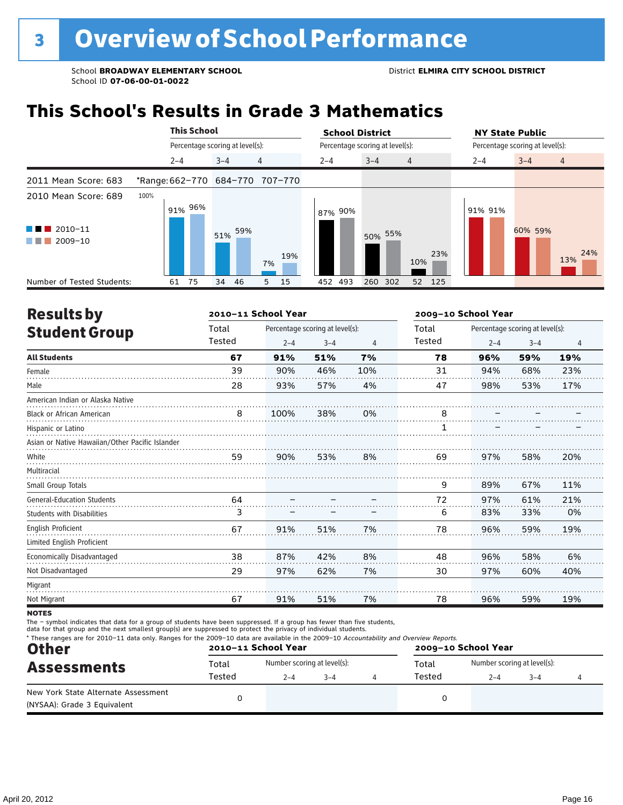# **This School's Results in Grade 3 Mathematics**

|                                                                      | <b>This School</b> |                                 |            |         |     |                                 |     | <b>School District</b> |                                 |         |                |     | <b>NY State Public</b>          |         |                |  |
|----------------------------------------------------------------------|--------------------|---------------------------------|------------|---------|-----|---------------------------------|-----|------------------------|---------------------------------|---------|----------------|-----|---------------------------------|---------|----------------|--|
|                                                                      |                    | Percentage scoring at level(s): |            |         |     |                                 |     |                        | Percentage scoring at level(s): |         |                |     | Percentage scoring at level(s): |         |                |  |
|                                                                      |                    | $2 - 4$                         |            | $3 - 4$ |     | $\overline{4}$                  |     | $2 - 4$                | $3 - 4$                         |         | $\overline{4}$ |     | $2 - 4$                         | $3 - 4$ | $\overline{4}$ |  |
| 2011 Mean Score: 683                                                 |                    |                                 |            |         |     | *Range: 662-770 684-770 707-770 |     |                        |                                 |         |                |     |                                 |         |                |  |
| 2010 Mean Score: 689                                                 | 100%               |                                 | $91\%$ 96% |         |     |                                 |     | 87% 90%                |                                 |         |                |     | 91% 91%                         |         |                |  |
| $\blacksquare$ 2010-11<br><b>The Second Second</b><br>2009-10<br>. . |                    |                                 |            | 51%     | 59% | 7%                              | 19% |                        |                                 | 50% 55% | 10%            | 23% |                                 | 60% 59% | 24%<br>13%     |  |
| Number of Tested Students:                                           |                    | 61                              | 75         | 34      | 46  | 15<br>5                         |     | 452 493                | 260                             | 302     | 52 125         |     |                                 |         |                |  |

| <b>Results by</b>                               |        | 2010-11 School Year |                                 |     |        | 2009-10 School Year |                                 |                |  |
|-------------------------------------------------|--------|---------------------|---------------------------------|-----|--------|---------------------|---------------------------------|----------------|--|
| <b>Student Group</b>                            | Total  |                     | Percentage scoring at level(s): |     | Total  |                     | Percentage scoring at level(s): |                |  |
|                                                 | Tested | $2 - 4$             | $3 - 4$                         | 4   | Tested | $2 - 4$             | $3 - 4$                         | $\overline{4}$ |  |
| <b>All Students</b>                             | 67     | 91%                 | 51%                             | 7%  | 78     | 96%                 | 59%                             | 19%            |  |
| Female                                          | 39     | 90%                 | 46%                             | 10% | 31     | 94%                 | 68%                             | 23%            |  |
| Male                                            | 28     | 93%                 | 57%                             | 4%  | 47     | 98%                 | 53%                             | 17%            |  |
| American Indian or Alaska Native                |        |                     |                                 |     |        |                     |                                 |                |  |
| <b>Black or African American</b>                | 8      | 100%                | 38%                             | 0%  | 8      |                     |                                 |                |  |
| Hispanic or Latino                              |        |                     |                                 |     |        |                     |                                 |                |  |
| Asian or Native Hawaiian/Other Pacific Islander |        |                     |                                 |     |        |                     |                                 |                |  |
| White                                           | 59     | 90%                 | 53%                             | 8%  | 69     | 97%                 | 58%                             | 20%            |  |
| Multiracial                                     |        |                     |                                 |     |        |                     |                                 |                |  |
| Small Group Totals                              |        |                     |                                 |     | 9      | 89%                 | 67%                             | 11%            |  |
| <b>General-Education Students</b>               | 64     |                     |                                 |     | 72     | 97%                 | 61%                             | 21%            |  |
| Students with Disabilities                      | 3      |                     |                                 |     | 6      | 83%                 | 33%                             | 0%             |  |
| <b>English Proficient</b>                       | 67     | 91%                 | 51%                             | 7%  | 78     | 96%                 | 59%                             | 19%            |  |
| Limited English Proficient                      |        |                     |                                 |     |        |                     |                                 |                |  |
| Economically Disadvantaged                      | 38     | 87%                 | 42%                             | 8%  | 48     | 96%                 | 58%                             | 6%             |  |
| Not Disadvantaged                               | 29     | 97%                 | 62%                             | 7%  | 30     | 97%                 | 60%                             | 40%            |  |
| Migrant                                         |        |                     |                                 |     |        |                     |                                 |                |  |
| Not Migrant                                     | 67     | 91%                 | 51%                             | 7%  | 78     | 96%                 | 59%                             | 19%            |  |
| $\cdots$                                        |        |                     |                                 |     |        |                     |                                 |                |  |

**NOTES** 

The – symbol indicates that data for a group of students have been suppressed. If a group has fewer than five students,<br>data for that group and the next smallest group(s) are suppressed to protect the privacy of individual

| <b>Other</b>                                                       |        | 2010-11 School Year         |         | 2009-10 School Year |                                      |                    |  |  |  |  |
|--------------------------------------------------------------------|--------|-----------------------------|---------|---------------------|--------------------------------------|--------------------|--|--|--|--|
| <b>Assessments</b>                                                 | Total  | Number scoring at level(s): |         |                     | Number scoring at level(s):<br>Total |                    |  |  |  |  |
|                                                                    | Tested | $2 - 4$                     | $3 - 4$ |                     | Tested                               | $3 - 4$<br>$2 - 4$ |  |  |  |  |
| New York State Alternate Assessment<br>(NYSAA): Grade 3 Equivalent |        |                             |         |                     |                                      |                    |  |  |  |  |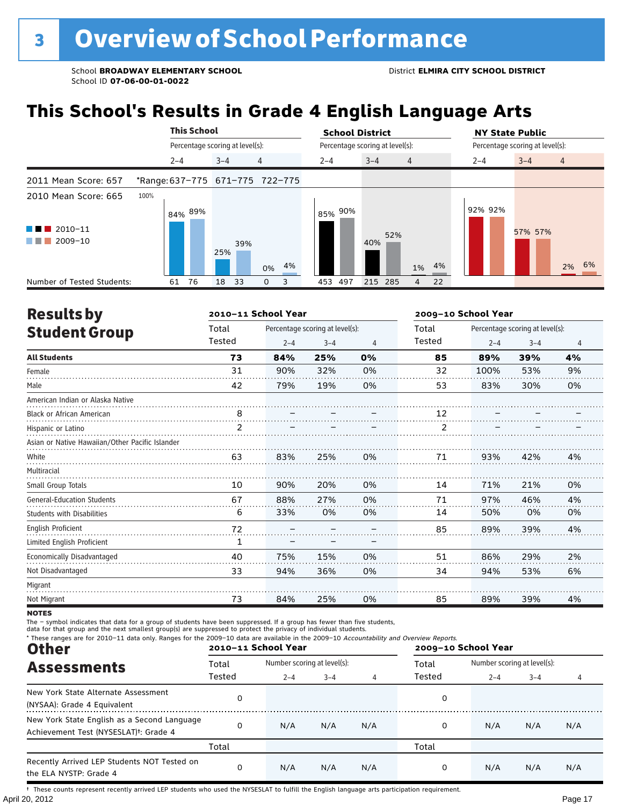# **This School's Results in Grade 4 English Language Arts**

|                                                                     |      | <b>This School</b>              |         |     |                                 | <b>School District</b>          |            |                |    | <b>NY State Public</b>          |         |                |  |
|---------------------------------------------------------------------|------|---------------------------------|---------|-----|---------------------------------|---------------------------------|------------|----------------|----|---------------------------------|---------|----------------|--|
|                                                                     |      | Percentage scoring at level(s): |         |     |                                 | Percentage scoring at level(s): |            |                |    | Percentage scoring at level(s): |         |                |  |
|                                                                     |      | $2 - 4$                         | $3 - 4$ |     | $\overline{4}$                  | $2 - 4$                         | $3 - 4$    | $\overline{4}$ |    | $2 - 4$                         | $3 - 4$ | $\overline{4}$ |  |
| 2011 Mean Score: 657                                                |      |                                 |         |     | *Range: 637-775 671-775 722-775 |                                 |            |                |    |                                 |         |                |  |
| 2010 Mean Score: 665                                                | 100% | $84\%$ 89%                      |         |     |                                 | 85% 90%                         |            |                |    | 92% 92%                         |         |                |  |
| $\blacksquare$ 2010-11<br><u> La Bara</u><br>$\blacksquare$ 2009-10 |      |                                 | 25%     | 39% | 4%<br>0%                        |                                 | 52%<br>40% | 1%             | 4% |                                 | 57% 57% | 2% 6%          |  |
| Number of Tested Students:                                          |      | 76<br>61                        | 18      | 33  | 3<br>0                          | 453<br>497                      | 215 285    | 4              | 22 |                                 |         |                |  |

| <b>Results by</b>                               |                | 2010-11 School Year |                                 |    | 2009-10 School Year |                                 |         |    |  |
|-------------------------------------------------|----------------|---------------------|---------------------------------|----|---------------------|---------------------------------|---------|----|--|
| <b>Student Group</b>                            | Total          |                     | Percentage scoring at level(s): |    | Total               | Percentage scoring at level(s): |         |    |  |
|                                                 | Tested         | $2 - 4$             | $3 - 4$                         | 4  | Tested              | $2 - 4$                         | $3 - 4$ | 4  |  |
| <b>All Students</b>                             | 73             | 84%                 | 25%                             | 0% | 85                  | 89%                             | 39%     | 4% |  |
| Female                                          | 31             | 90%                 | 32%                             | 0% | 32                  | 100%                            | 53%     | 9% |  |
| Male                                            | 42             | 79%                 | 19%                             | 0% | 53                  | 83%                             | 30%     | 0% |  |
| American Indian or Alaska Native                |                |                     |                                 |    |                     |                                 |         |    |  |
| <b>Black or African American</b>                | 8              |                     |                                 |    | 12                  |                                 |         |    |  |
| Hispanic or Latino                              | $\overline{2}$ |                     |                                 |    | $\overline{2}$      |                                 |         |    |  |
| Asian or Native Hawaiian/Other Pacific Islander |                |                     |                                 |    |                     |                                 |         |    |  |
| White                                           | 63             | 83%                 | 25%                             | 0% | 71                  | 93%                             | 42%     | 4% |  |
| Multiracial                                     |                |                     |                                 |    |                     |                                 |         |    |  |
| Small Group Totals                              | 10             | 90%                 | 20%                             | 0% | 14                  | 71%                             | 21%     | 0% |  |
| <b>General-Education Students</b>               | 67             | 88%                 | 27%                             | 0% | 71                  | 97%                             | 46%     | 4% |  |
| <b>Students with Disabilities</b>               | 6              | 33%                 | 0%                              | 0% | 14                  | 50%                             | 0%      | 0% |  |
| English Proficient                              | 72             |                     |                                 |    | 85                  | 89%                             | 39%     | 4% |  |
| Limited English Proficient                      | 1              |                     |                                 |    |                     |                                 |         |    |  |
| Economically Disadvantaged                      | 40             | 75%                 | 15%                             | 0% | 51                  | 86%                             | 29%     | 2% |  |
| Not Disadvantaged                               | 33             | 94%                 | 36%                             | 0% | 34                  | 94%                             | 53%     | 6% |  |
| Migrant                                         |                |                     |                                 |    |                     |                                 |         |    |  |
| Not Migrant                                     | 73             | 84%                 | 25%                             | 0% | 85                  | 89%                             | 39%     | 4% |  |

**NOTES** 

The – symbol indicates that data for a group of students have been suppressed. If a group has fewer than five students,<br>data for that group and the next smallest group(s) are suppressed to protect the privacy of individual

| * These ranges are for 2010-11 data only. Ranges for the 2009-10 data are available in the 2009-10 Accountability and Overview Reports.<br><b>Other</b> |        | 2010-11 School Year         |         |     | 2009-10 School Year |                             |         |     |  |  |
|---------------------------------------------------------------------------------------------------------------------------------------------------------|--------|-----------------------------|---------|-----|---------------------|-----------------------------|---------|-----|--|--|
| <b>Assessments</b>                                                                                                                                      | Total  | Number scoring at level(s): |         |     | Total               | Number scoring at level(s): |         |     |  |  |
|                                                                                                                                                         | Tested | $2 - 4$                     | $3 - 4$ | 4   | Tested              | $2 - 4$                     | $3 - 4$ | 4   |  |  |
| New York State Alternate Assessment<br>(NYSAA): Grade 4 Equivalent                                                                                      | 0      |                             |         |     | 0                   |                             |         |     |  |  |
| New York State English as a Second Language<br>Achievement Test (NYSESLAT) <sup>+</sup> : Grade 4                                                       | 0      | N/A                         | N/A     | N/A | 0                   | N/A                         | N/A     | N/A |  |  |
|                                                                                                                                                         | Total  |                             |         |     | Total               |                             |         |     |  |  |
| Recently Arrived LEP Students NOT Tested on<br>the ELA NYSTP: Grade 4                                                                                   | 0      | N/A                         | N/A     | N/A | 0                   | N/A                         | N/A     | N/A |  |  |

April 20, 2012 Page 17 † These counts represent recently arrived LEP students who used the NYSESLAT to fulfill the English language arts participation requirement.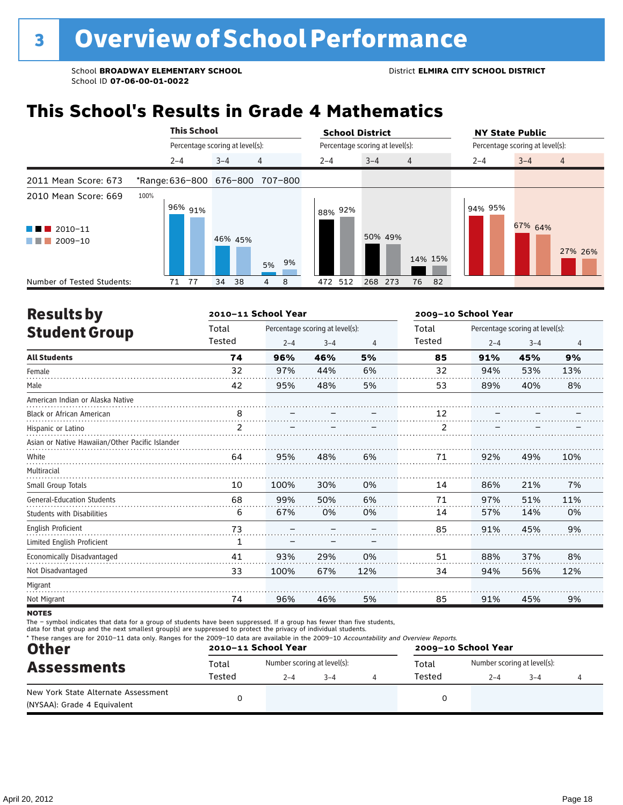# **This School's Results in Grade 4 Mathematics**

|                                                                |      | <b>This School</b> |                                 |         |    | <b>School District</b>          |                                 |         |                | <b>NY State Public</b> |                                 |         |                |  |
|----------------------------------------------------------------|------|--------------------|---------------------------------|---------|----|---------------------------------|---------------------------------|---------|----------------|------------------------|---------------------------------|---------|----------------|--|
|                                                                |      |                    | Percentage scoring at level(s): |         |    |                                 | Percentage scoring at level(s): |         |                |                        | Percentage scoring at level(s): |         |                |  |
|                                                                |      | $2 - 4$            |                                 | $3 - 4$ |    | 4                               | $2 - 4$                         | $3 - 4$ | $\overline{4}$ |                        | $2 - 4$                         | $3 - 4$ | $\overline{4}$ |  |
| 2011 Mean Score: 673                                           |      |                    |                                 |         |    | *Range: 636-800 676-800 707-800 |                                 |         |                |                        |                                 |         |                |  |
| 2010 Mean Score: 669<br>$\blacksquare$ 2010-11<br>2009-10<br>. | 100% |                    | $196\%$ 91%                     | 46% 45% |    | 5% 9%                           | 88% 92%                         | 50% 49% | 14% 15%        |                        | 94% 95%                         | 67% 64% | 27% 26%        |  |
| Number of Tested Students:                                     |      | 71                 | - 77                            | 34      | 38 | 8<br>4                          | 472 512                         | 268 273 | 76             | - 82                   |                                 |         |                |  |

| <b>Results by</b>                               |        | 2010-11 School Year |                                 |     | 2009-10 School Year |         |                                 |     |  |
|-------------------------------------------------|--------|---------------------|---------------------------------|-----|---------------------|---------|---------------------------------|-----|--|
| <b>Student Group</b>                            | Total  |                     | Percentage scoring at level(s): |     | Total               |         | Percentage scoring at level(s): |     |  |
|                                                 | Tested | $2 - 4$             | $3 - 4$                         | 4   | Tested              | $2 - 4$ | $3 - 4$                         | 4   |  |
| <b>All Students</b>                             | 74     | 96%                 | 46%                             | 5%  | 85                  | 91%     | 45%                             | 9%  |  |
| Female                                          | 32     | 97%                 | 44%                             | 6%  | 32                  | 94%     | 53%                             | 13% |  |
| Male                                            | 42     | 95%                 | 48%                             | 5%  | 53                  | 89%     | 40%                             | 8%  |  |
| American Indian or Alaska Native                |        |                     |                                 |     |                     |         |                                 |     |  |
| <b>Black or African American</b>                | 8      |                     |                                 |     | 12                  |         |                                 |     |  |
| Hispanic or Latino                              | 2      |                     |                                 |     | 2                   |         |                                 |     |  |
| Asian or Native Hawaiian/Other Pacific Islander |        |                     |                                 |     |                     |         |                                 |     |  |
| White                                           | 64     | 95%                 | 48%                             | 6%  | 71                  | 92%     | 49%                             | 10% |  |
| Multiracial                                     |        |                     |                                 |     |                     |         |                                 |     |  |
| Small Group Totals                              | 10     | 100%                | 30%                             | 0%  | 14                  | 86%     | 21%                             | 7%  |  |
| <b>General-Education Students</b>               | 68     | 99%                 | 50%                             | 6%  | 71                  | 97%     | 51%                             | 11% |  |
| <b>Students with Disabilities</b>               | 6      | 67%                 | 0%                              | 0%  | 14                  | 57%     | 14%                             | 0%  |  |
| <b>English Proficient</b>                       | 73     |                     |                                 |     | 85                  | 91%     | 45%                             | 9%  |  |
| Limited English Proficient                      | 1      |                     |                                 |     |                     |         |                                 |     |  |
| Economically Disadvantaged                      | 41     | 93%                 | 29%                             | 0%  | 51                  | 88%     | 37%                             | 8%  |  |
| Not Disadvantaged                               | 33     | 100%                | 67%                             | 12% | 34                  | 94%     | 56%                             | 12% |  |
| Migrant                                         |        |                     |                                 |     |                     |         |                                 |     |  |
| Not Migrant                                     | 74     | 96%                 | 46%                             | 5%  | 85                  | 91%     | 45%                             | 9%  |  |

**NOTES** 

The – symbol indicates that data for a group of students have been suppressed. If a group has fewer than five students,<br>data for that group and the next smallest group(s) are suppressed to protect the privacy of individual

| <b>Other</b>                                                       |        | 2010-11 School Year         |  | 2009-10 School Year |        |                             |         |  |  |
|--------------------------------------------------------------------|--------|-----------------------------|--|---------------------|--------|-----------------------------|---------|--|--|
| <b>Assessments</b>                                                 | Total  | Number scoring at level(s): |  |                     | Total  | Number scoring at level(s): |         |  |  |
|                                                                    | Tested | $2 - 4$<br>$3 - 4$          |  |                     | Tested | $2 - 4$                     | $3 - 4$ |  |  |
| New York State Alternate Assessment<br>(NYSAA): Grade 4 Equivalent |        |                             |  |                     |        |                             |         |  |  |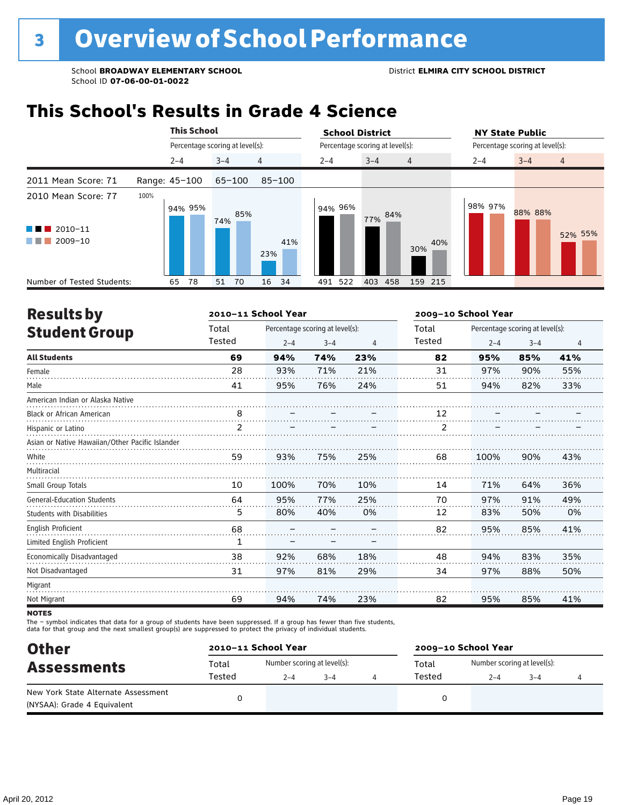### **This School's Results in Grade 4 Science**

|                                                                  |               | <b>This School</b> |                                 |            | <b>School District</b> |                                 | <b>NY State Public</b>               |  |  |  |
|------------------------------------------------------------------|---------------|--------------------|---------------------------------|------------|------------------------|---------------------------------|--------------------------------------|--|--|--|
|                                                                  |               |                    | Percentage scoring at level(s): |            |                        | Percentage scoring at level(s): | Percentage scoring at level(s):      |  |  |  |
|                                                                  |               | $2 - 4$            | $3 - 4$                         | 4          | $2 - 4$                | $3 - 4$<br>$\overline{4}$       | $3 - 4$<br>$2 - 4$<br>$\overline{4}$ |  |  |  |
| 2011 Mean Score: 71                                              | Range: 45-100 |                    | $65 - 100$                      | $85 - 100$ |                        |                                 |                                      |  |  |  |
| 2010 Mean Score: 77<br>$\blacksquare$ 2010-11<br>a ka<br>2009-10 | 100%          | 94% 95%            | 85%<br>74%                      | 41%<br>23% | 94% 96%                | 84%<br>77%<br>40%<br>30%        | 98% 97%<br>88% 88%<br>52% 55%        |  |  |  |
| Number of Tested Students:                                       |               | 78<br>65           | 70<br>51                        | 16<br>34   | 491 522                | 403<br>458<br>159 215           |                                      |  |  |  |

| <b>Results by</b>                               |                | 2010-11 School Year |                                 |     | 2009-10 School Year |         |                                 |     |  |
|-------------------------------------------------|----------------|---------------------|---------------------------------|-----|---------------------|---------|---------------------------------|-----|--|
| <b>Student Group</b>                            | Total          |                     | Percentage scoring at level(s): |     | Total               |         | Percentage scoring at level(s): |     |  |
|                                                 | Tested         | $2 - 4$             | $3 - 4$                         | 4   | Tested              | $2 - 4$ | $3 - 4$                         | 4   |  |
| <b>All Students</b>                             | 69             | 94%                 | 74%                             | 23% | 82                  | 95%     | 85%                             | 41% |  |
| Female                                          | 28             | 93%                 | 71%                             | 21% | 31                  | 97%     | 90%                             | 55% |  |
| Male                                            | 41             | 95%                 | 76%                             | 24% | 51                  | 94%     | 82%                             | 33% |  |
| American Indian or Alaska Native                |                |                     |                                 |     |                     |         |                                 |     |  |
| <b>Black or African American</b>                | 8              |                     |                                 |     | 12                  |         |                                 |     |  |
| Hispanic or Latino                              | $\overline{2}$ |                     |                                 |     | 2                   |         |                                 |     |  |
| Asian or Native Hawaiian/Other Pacific Islander |                |                     |                                 |     |                     |         |                                 |     |  |
| White                                           | 59             | 93%                 | 75%                             | 25% | 68                  | 100%    | 90%                             | 43% |  |
| Multiracial                                     |                |                     |                                 |     |                     |         |                                 |     |  |
| <b>Small Group Totals</b>                       | 10             | 100%                | 70%                             | 10% | 14                  | 71%     | 64%                             | 36% |  |
| <b>General-Education Students</b>               | 64             | 95%                 | 77%                             | 25% | 70                  | 97%     | 91%                             | 49% |  |
| <b>Students with Disabilities</b>               | 5              | 80%                 | 40%                             | 0%  | 12                  | 83%     | 50%                             | 0%  |  |
| <b>English Proficient</b>                       | 68             |                     |                                 |     | 82                  | 95%     | 85%                             | 41% |  |
| Limited English Proficient                      | 1              |                     |                                 |     |                     |         |                                 |     |  |
| Economically Disadvantaged                      | 38             | 92%                 | 68%                             | 18% | 48                  | 94%     | 83%                             | 35% |  |
| Not Disadvantaged                               | 31             | 97%                 | 81%                             | 29% | 34                  | 97%     | 88%                             | 50% |  |
| Migrant                                         |                |                     |                                 |     |                     |         |                                 |     |  |
| Not Migrant                                     | 69             | 94%                 | 74%                             | 23% | 82                  | 95%     | 85%                             | 41% |  |

**NOTES** 

The – symbol indicates that data for a group of students have been suppressed. If a group has fewer than five students,<br>data for that group and the next smallest group(s) are suppressed to protect the privacy of individual

| <b>Other</b>                                                       | 2010-11 School Year |                             |         | 2009-10 School Year |                             |         |  |  |  |
|--------------------------------------------------------------------|---------------------|-----------------------------|---------|---------------------|-----------------------------|---------|--|--|--|
| <b>Assessments</b>                                                 | Total               | Number scoring at level(s): |         | Total               | Number scoring at level(s): |         |  |  |  |
|                                                                    | Tested              | $2 - 4$                     | $3 - 4$ | Tested              | $2 - 4$                     | $3 - 4$ |  |  |  |
| New York State Alternate Assessment<br>(NYSAA): Grade 4 Equivalent |                     |                             |         |                     |                             |         |  |  |  |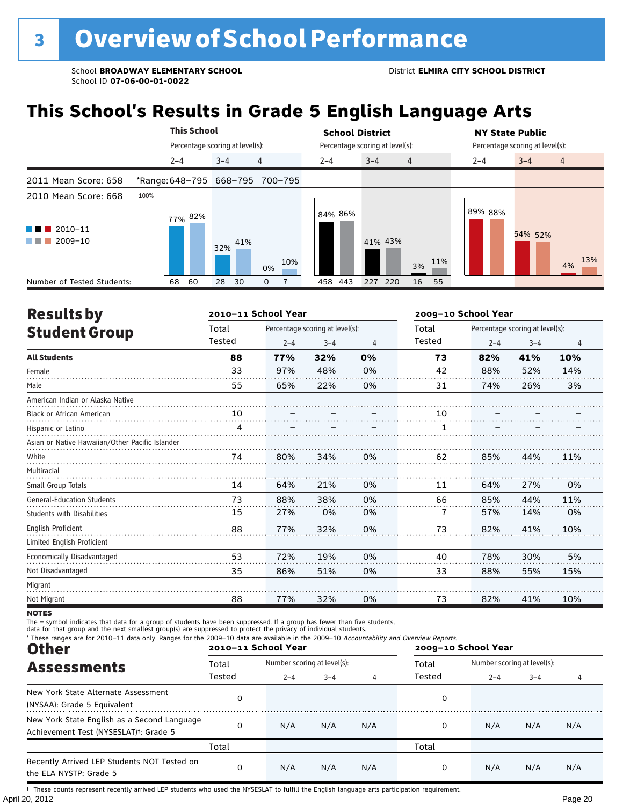# **This School's Results in Grade 5 English Language Arts**

|                                   |      | <b>This School</b>              |         |     | <b>School District</b>          |  |                                 |            |                | <b>NY State Public</b> |                                 |         |                |
|-----------------------------------|------|---------------------------------|---------|-----|---------------------------------|--|---------------------------------|------------|----------------|------------------------|---------------------------------|---------|----------------|
|                                   |      | Percentage scoring at level(s): |         |     |                                 |  | Percentage scoring at level(s): |            |                |                        | Percentage scoring at level(s): |         |                |
|                                   |      | $2 - 4$                         | $3 - 4$ |     | $\overline{4}$                  |  | $2 - 4$                         | $3 - 4$    | $\overline{4}$ |                        | $2 - 4$                         | $3 - 4$ | $\overline{4}$ |
| 2011 Mean Score: 658              |      |                                 |         |     | *Range: 648-795 668-795 700-795 |  |                                 |            |                |                        |                                 |         |                |
| 2010 Mean Score: 668              | 100% | 77% 82%                         |         |     |                                 |  | 84% 86%                         |            |                |                        | 89% 88%                         |         |                |
| $\blacksquare$ 2010-11<br>2009-10 |      |                                 | 32%     | 41% | 10%<br>0%                       |  |                                 | 41% 43%    | 3%             | 11%                    |                                 | 54% 52% | 13%<br>4%      |
| Number of Tested Students:        |      | 60<br>68                        | 28      | 30  | 0                               |  | 443<br>458                      | 227<br>220 | 16             | 55                     |                                 |         |                |

| <b>Results by</b>                               |        | 2010-11 School Year |                                 |    | 2009-10 School Year |         |                                 |     |  |
|-------------------------------------------------|--------|---------------------|---------------------------------|----|---------------------|---------|---------------------------------|-----|--|
| <b>Student Group</b>                            | Total  |                     | Percentage scoring at level(s): |    | Total               |         | Percentage scoring at level(s): |     |  |
|                                                 | Tested | $2 - 4$             | $3 - 4$                         | 4  | Tested              | $2 - 4$ | $3 - 4$                         | 4   |  |
| <b>All Students</b>                             | 88     | 77%                 | 32%                             | 0% | 73                  | 82%     | 41%                             | 10% |  |
| Female                                          | 33     | 97%                 | 48%                             | 0% | 42                  | 88%     | 52%                             | 14% |  |
| Male                                            | 55     | 65%                 | 22%                             | 0% | 31                  | 74%     | 26%                             | 3%  |  |
| American Indian or Alaska Native                |        |                     |                                 |    |                     |         |                                 |     |  |
| Black or African American                       | 10     |                     |                                 |    | 10                  |         |                                 |     |  |
| Hispanic or Latino                              | 4      |                     |                                 |    | 1                   |         |                                 |     |  |
| Asian or Native Hawaiian/Other Pacific Islander |        |                     |                                 |    |                     |         |                                 |     |  |
| White                                           | 74     | 80%                 | 34%                             | 0% | 62                  | 85%     | 44%                             | 11% |  |
| Multiracial                                     |        |                     |                                 |    |                     |         |                                 |     |  |
| Small Group Totals                              | 14     | 64%                 | 21%                             | 0% | 11                  | 64%     | 27%                             | 0%  |  |
| <b>General-Education Students</b>               | 73     | 88%                 | 38%                             | 0% | 66                  | 85%     | 44%                             | 11% |  |
| <b>Students with Disabilities</b>               | 15     | 27%                 | 0%                              | 0% | 7                   | 57%     | 14%                             | 0%  |  |
| <b>English Proficient</b>                       | 88     | 77%                 | 32%                             | 0% | 73                  | 82%     | 41%                             | 10% |  |
| Limited English Proficient                      |        |                     |                                 |    |                     |         |                                 |     |  |
| Economically Disadvantaged                      | 53     | 72%                 | 19%                             | 0% | 40                  | 78%     | 30%                             | 5%  |  |
| Not Disadvantaged                               | 35     | 86%                 | 51%                             | 0% | 33                  | 88%     | 55%                             | 15% |  |
| Migrant                                         |        |                     |                                 |    |                     |         |                                 |     |  |
| Not Migrant                                     | 88     | 77%                 | 32%                             | 0% | 73                  | 82%     | 41%                             | 10% |  |

**NOTES** 

The – symbol indicates that data for a group of students have been suppressed. If a group has fewer than five students,<br>data for that group and the next smallest group(s) are suppressed to protect the privacy of individual

| * These ranges are for 2010-11 data only. Ranges for the 2009-10 data are available in the 2009-10 Accountability and Overview Reports.<br><b>Other</b> |        | 2010-11 School Year         |         |     | 2009-10 School Year |                             |         |     |  |
|---------------------------------------------------------------------------------------------------------------------------------------------------------|--------|-----------------------------|---------|-----|---------------------|-----------------------------|---------|-----|--|
| <b>Assessments</b>                                                                                                                                      | Total  | Number scoring at level(s): |         |     | Total               | Number scoring at level(s): |         |     |  |
|                                                                                                                                                         | Tested | $2 - 4$                     | $3 - 4$ |     | Tested              | $2 - 4$                     | $3 - 4$ |     |  |
| New York State Alternate Assessment<br>(NYSAA): Grade 5 Equivalent                                                                                      | 0      |                             |         |     | 0                   |                             |         |     |  |
| New York State English as a Second Language<br>Achievement Test (NYSESLAT) <sup>t</sup> : Grade 5                                                       | 0      | N/A                         | N/A     | N/A | 0                   | N/A                         | N/A     | N/A |  |
|                                                                                                                                                         | Total  |                             |         |     | Total               |                             |         |     |  |
| Recently Arrived LEP Students NOT Tested on<br>the ELA NYSTP: Grade 5                                                                                   | 0      | N/A                         | N/A     | N/A | 0                   | N/A                         | N/A     | N/A |  |

April 20, 2012 Page 20 † These counts represent recently arrived LEP students who used the NYSESLAT to fulfill the English language arts participation requirement.